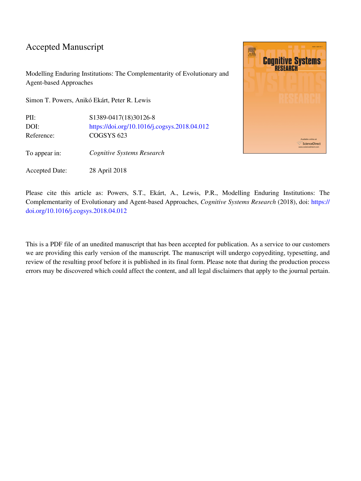# Accepted Manuscript

Modelling Enduring Institutions: The Complementarity of Evolutionary and Agent-based Approaches

Simon T. Powers, Anikó Ekárt, Peter R. Lewis

PII: S1389-0417(18)30126-8 DOI: <https://doi.org/10.1016/j.cogsys.2018.04.012> Reference: COGSYS 623

To appear in: *Cognitive Systems Research*

Accepted Date: 28 April 2018



Please cite this article as: Powers, S.T., Ekárt, A., Lewis, P.R., Modelling Enduring Institutions: The Complementarity of Evolutionary and Agent-based Approaches, *Cognitive Systems Research* (2018), doi: [https://](https://doi.org/10.1016/j.cogsys.2018.04.012) [doi.org/10.1016/j.cogsys.2018.04.012](https://doi.org/10.1016/j.cogsys.2018.04.012)

This is a PDF file of an unedited manuscript that has been accepted for publication. As a service to our customers we are providing this early version of the manuscript. The manuscript will undergo copyediting, typesetting, and review of the resulting proof before it is published in its final form. Please note that during the production process errors may be discovered which could affect the content, and all legal disclaimers that apply to the journal pertain.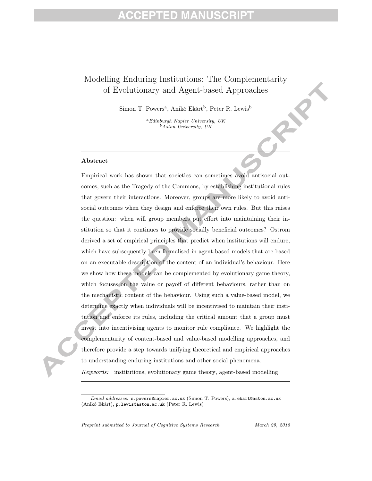# FD MAI

#### Modelling Enduring Institutions: The Complementarity of Evolutionary and Agent-based Approaches

Simon T. Powers<sup>a</sup>, Anikó Ekárt<sup>b</sup>, Peter R. Lewis<sup>b</sup>

 ${}^a$ Edinburgh Napier University, UK  $b$ Aston University, UK

#### Abstract

Empirical work has shown that societies can sometimes avoid antisocial outcomes, such as the Tragedy of the Commons, by establishing institutional rules that govern their interactions. Moreover, groups are more likely to avoid antisocial outcomes when they design and enforce their own rules. But this raises the question: when will group members put effort into maintaining their institution so that it continues to provide socially beneficial outcomes? Ostrom derived a set of empirical principles that predict when institutions will endure, which have subsequently been formalised in agent-based models that are based on an executable description of the content of an individual's behaviour. Here we show how these models can be complemented by evolutionary game theory, which focuses on the value or payoff of different behaviours, rather than on the mechanistic content of the behaviour. Using such a value-based model, we determine exactly when individuals will be incentivised to maintain their institution and enforce its rules, including the critical amount that a group must invest into incentivising agents to monitor rule compliance. We highlight the complementarity of content-based and value-based modelling approaches, and therefore provide a step towards unifying theoretical and empirical approaches to understanding enduring institutions and other social phenomena.

Keywords: institutions, evolutionary game theory, agent-based modelling

Preprint submitted to Journal of Cognitive Systems Research March 29, 2018

Email addresses: s.powers@napier.ac.uk (Simon T. Powers), a.ekart@aston.ac.uk (Anikó Ekárt), p.lewis@aston.ac.uk (Peter R. Lewis)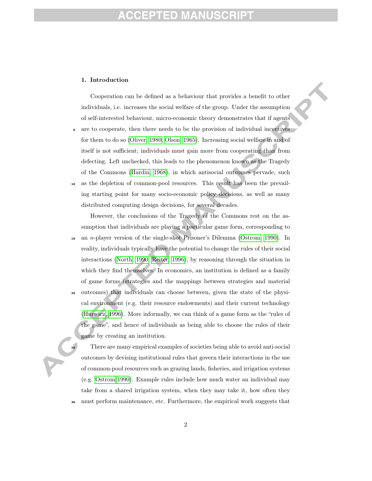# ED.

#### 1. Introduction

Cooperation can be defined as a behaviour that provides a benefit to other individuals, i.e. increases the social welfare of the group. Under the assumption of self-interested behaviour, micro-economic theory demonstrates that if agents

- are to cooperate, then there needs to be the provision of individual incentives for them to do so (Oliver, 1980; Olson, 1965). Increasing social welfare in and of itself is not sufficient; individuals must gain more from cooperating than from defecting. Left unchecked, this leads to the phenomenon known as the Tragedy of the Commons (Hardin, 1968), in which antisocial outcomes pervade, such
- as the depletion of common-pool resources. This result has been the prevailing starting point for many socio-economic policy decisions, as well as many distributed computing design decisions, for several decades.

However, the conclusions of the Tragedy of the Commons rest on the assumption that individuals are playing a particular game form, corresponding to

 $\mu$ <sub>15</sub> an *n*-player version of the single-shot Prisoner's Dilemma (Ostrom, 1990). In reality, individuals typically have the potential to change the rules of their social interactions (North, 1990; Reiter, 1996), by reasoning through the situation in which they find themselves. In economics, an institution is defined as a family of game forms (strategies and the mappings between strategies and material <sup>20</sup> outcomes) that individuals can choose between, given the state of the physical environment (e.g. their resource endowments) and their current technology (Hurwicz, 1996). More informally, we can think of a game form as the "rules of the game", and hence of individuals as being able to choose the rules of their game by creating an institution.

<sup>25</sup> There are many empirical examples of societies being able to avoid anti-social outcomes by devising institutional rules that govern their interactions in the use of common-pool resources such as grazing lands, fisheries, and irrigation systems (e.g. Ostrom 1990). Example rules include how much water an individual may take from a shared irrigation system, when they may take it, how often they <sup>30</sup> must perform maintenance, etc. Furthermore, the empirical work suggests that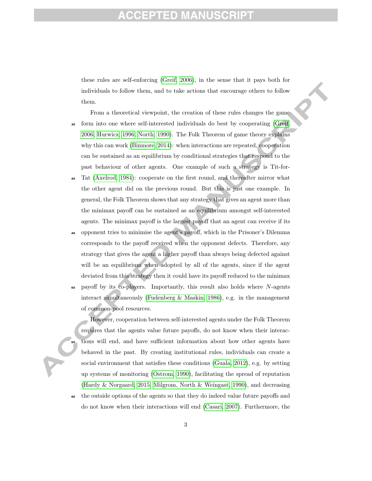#### ED MZ

these rules are self-enforcing (Greif, 2006), in the sense that it pays both for individuals to follow them, and to take actions that encourage others to follow them.

- From a theoretical viewpoint, the creation of these rules changes the game <sup>35</sup> form into one where self-interested individuals do best by cooperating (Greif, 2006; Hurwicz, 1996; North, 1990). The Folk Theorem of game theory explains why this can work (Binmore, 2014): when interactions are repeated, cooperation can be sustained as an equilibrium by conditional strategies that respond to the past behaviour of other agents. One example of such a strategy is Tit-for-
- <sup>40</sup> Tat (Axelrod, 1984): cooperate on the first round, and thereafter mirror what the other agent did on the previous round. But this is just one example. In general, the Folk Theorem shows that any strategy that gives an agent more than the minimax payoff can be sustained as an equilibrium amongst self-interested agents. The minimax payoff is the largest payoff that an agent can receive if its
- <sup>45</sup> opponent tries to minimise the agent's payoff, which in the Prisoner's Dilemma corresponds to the payoff received when the opponent defects. Therefore, any strategy that gives the agent a higher payoff than always being defected against will be an equilibrium when adopted by all of the agents, since if the agent deviated from this strategy then it could have its payoff reduced to the minimax
- $\frac{1}{50}$  payoff by its co-players. Importantly, this result also holds where N-agents interact simultaneously (Fudenberg & Maskin, 1986), e.g. in the management of common-pool resources.

However, cooperation between self-interested agents under the Folk Theorem requires that the agents value future payoffs, do not know when their interac-<sup>55</sup> tions will end, and have sufficient information about how other agents have behaved in the past. By creating institutional rules, individuals can create a social environment that satisfies these conditions (Guala, 2012), e.g. by setting up systems of monitoring (Ostrom, 1990), facilitating the spread of reputation (Hardy & Norgaard, 2015; Milgrom, North & Weingast, 1990), and decreasing <sup>60</sup> the outside options of the agents so that they do indeed value future payoffs and

do not know when their interactions will end (Casari, 2007). Furthermore, the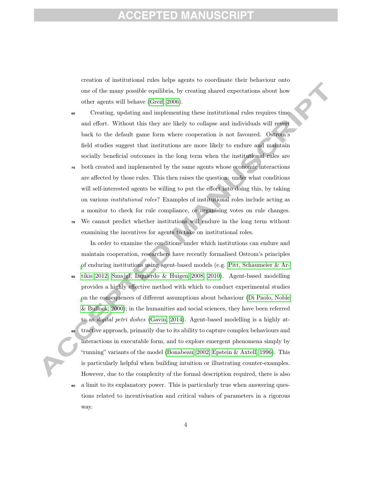### ED MZ

creation of institutional rules helps agents to coordinate their behaviour onto one of the many possible equilibria, by creating shared expectations about how other agents will behave (Greif, 2006).

- <sup>65</sup> Creating, updating and implementing these institutional rules requires time and effort. Without this they are likely to collapse and individuals will revert back to the default game form where cooperation is not favoured. Ostrom's field studies suggest that institutions are more likely to endure and maintain socially beneficial outcomes in the long term when the institutional rules are
- <sup>70</sup> both created and implemented by the same agents whose economic interactions are affected by those rules. This then raises the question: under what conditions will self-interested agents be willing to put the effort into doing this, by taking on various institutional roles? Examples of institutional roles include acting as a monitor to check for rule compliance, or organising votes on rule changes.
- <sup>75</sup> We cannot predict whether institutions will endure in the long term without examining the incentives for agents to take on institutional roles.

In order to examine the conditions under which institutions can endure and maintain cooperation, researchers have recently formalised Ostrom's principles of enduring institutions using agent-based models (e.g. Pitt, Schaumeier  $\&$  Ar-<sup>80</sup> tikis 2012; Smajgl, Izquierdo & Huigen 2008, 2010). Agent-based modelling provides a highly effective method with which to conduct experimental studies on the consequences of different assumptions about behaviour (Di Paolo, Noble & Bullock, 2000); in the humanities and social sciences, they have been referred to as *digital petri dishes* (Gavin, 2014). Agent-based modelling is a highly attractive approach, primarily due to its ability to capture complex behaviours and interactions in executable form, and to explore emergent phenomena simply by "running" variants of the model (Bonabeau, 2002; Epstein & Axtell, 1996). This is particularly helpful when building intuition or illustrating counter-examples. However, due to the complexity of the formal description required, there is also <sup>90</sup> a limit to its explanatory power. This is particularly true when answering ques-

tions related to incentivisation and critical values of parameters in a rigorous way.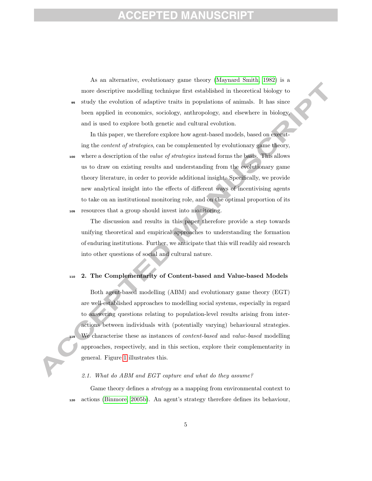### FD M

As an alternative, evolutionary game theory (Maynard Smith, 1982) is a more descriptive modelling technique first established in theoretical biology to <sup>95</sup> study the evolution of adaptive traits in populations of animals. It has since been applied in economics, sociology, anthropology, and elsewhere in biology, and is used to explore both genetic and cultural evolution.

In this paper, we therefore explore how agent-based models, based on executing the content of strategies, can be complemented by evolutionary game theory, 100 where a description of the *value of strategies* instead forms the basis. This allows us to draw on existing results and understanding from the evolutionary game theory literature, in order to provide additional insight. Specifically, we provide new analytical insight into the effects of different ways of incentivising agents to take on an institutional monitoring role, and on the optimal proportion of its <sup>105</sup> resources that a group should invest into monitoring.

The discussion and results in this paper therefore provide a step towards unifying theoretical and empirical approaches to understanding the formation of enduring institutions. Further, we anticipate that this will readily aid research into other questions of social and cultural nature.

#### <sup>110</sup> 2. The Complementarity of Content-based and Value-based Models

Both agent-based modelling (ABM) and evolutionary game theory (EGT) are well-established approaches to modelling social systems, especially in regard to answering questions relating to population-level results arising from interactions between individuals with (potentially varying) behavioural strategies. We characterise these as instances of *content-based* and *value-based* modelling approaches, respectively, and in this section, explore their complementarity in general. Figure 1 illustrates this.

#### 2.1. What do ABM and EGT capture and what do they assume?

Game theory defines a *strategy* as a mapping from environmental context to <sup>120</sup> actions (Binmore, 2005b). An agent's strategy therefore defines its behaviour,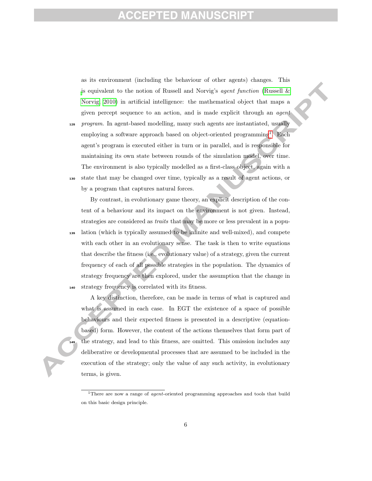### ED MZ

as its environment (including the behaviour of other agents) changes. This is equivalent to the notion of Russell and Norvig's *agent function* (Russell  $\&$ Norvig, 2010) in artificial intelligence: the mathematical object that maps a given percept sequence to an action, and is made explicit through an agent

125 program. In agent-based modelling, many such agents are instantiated, usually employing a software approach based on object-oriented programming<sup>1</sup>. Each agent's program is executed either in turn or in parallel, and is responsible for maintaining its own state between rounds of the simulation model, over time. The environment is also typically modelled as a first-class object, again with a <sup>130</sup> state that may be changed over time, typically as a result of agent actions, or

by a program that captures natural forces.

By contrast, in evolutionary game theory, an explicit description of the content of a behaviour and its impact on the environment is not given. Instead, strategies are considered as traits that may be more or less prevalent in a popu-<sup>135</sup> lation (which is typically assumed to be infinite and well-mixed), and compete with each other in an evolutionary sense. The task is then to write equations that describe the fitness (i.e., evolutionary value) of a strategy, given the current frequency of each of all possible strategies in the population. The dynamics of strategy frequency are then explored, under the assumption that the change in <sup>140</sup> strategy frequency is correlated with its fitness.

A key distinction, therefore, can be made in terms of what is captured and what is assumed in each case. In EGT the existence of a space of possible behaviours and their expected fitness is presented in a descriptive (equationbased) form. However, the content of the actions themselves that form part of the strategy, and lead to this fitness, are omitted. This omission includes any deliberative or developmental processes that are assumed to be included in the execution of the strategy; only the value of any such activity, in evolutionary terms, is given.

<sup>&</sup>lt;sup>1</sup>There are now a range of *agent*-oriented programming approaches and tools that build on this basic design principle.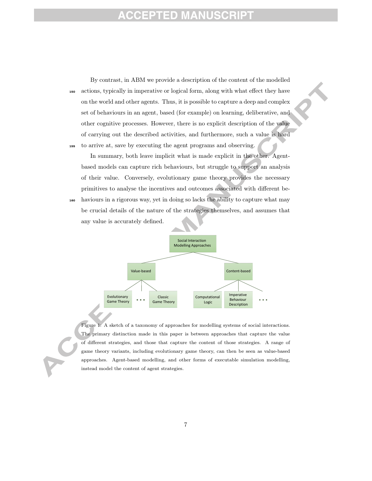### **CCEPTED MANU**

By contrast, in ABM we provide a description of the content of the modelled <sup>150</sup> actions, typically in imperative or logical form, along with what effect they have on the world and other agents. Thus, it is possible to capture a deep and complex set of behaviours in an agent, based (for example) on learning, deliberative, and other cognitive processes. However, there is no explicit description of the value of carrying out the described activities, and furthermore, such a value is hard <sup>155</sup> to arrive at, save by executing the agent programs and observing.

In summary, both leave implicit what is made explicit in the other. Agentbased models can capture rich behaviours, but struggle to support an analysis of their value. Conversely, evolutionary game theory provides the necessary primitives to analyse the incentives and outcomes associated with different be-

<sup>160</sup> haviours in a rigorous way, yet in doing so lacks the ability to capture what may be crucial details of the nature of the strategies themselves, and assumes that any value is accurately defined.



Figure 1: A sketch of a taxonomy of approaches for modelling systems of social interactions. The primary distinction made in this paper is between approaches that capture the value of different strategies, and those that capture the content of those strategies. A range of game theory variants, including evolutionary game theory, can then be seen as value-based approaches. Agent-based modelling, and other forms of executable simulation modelling, instead model the content of agent strategies.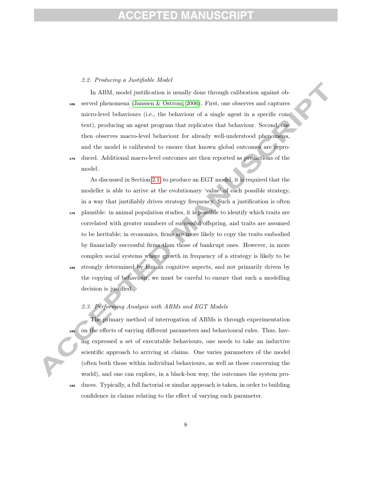# ID

#### 2.2. Producing a Justifiable Model

In ABM, model justification is usually done through calibration against ob-<sup>165</sup> served phenomena (Janssen & Ostrom, 2006). First, one observes and captures micro-level behaviours (i.e., the behaviour of a single agent in a specific context), producing an agent program that replicates that behaviour. Second, one then observes macro-level behaviour for already well-understood phenomena, and the model is calibrated to ensure that known global outcomes are repro-<sup>170</sup> duced. Additional macro-level outcomes are then reported as predictions of the model.

As discussed in Section 2.1, to produce an EGT model, it is required that the modeller is able to arrive at the evolutionary 'value' of each possible strategy, in a way that justifiably drives strategy frequency. Such a justification is often <sup>175</sup> plausible: in animal population studies, it is possible to identify which traits are

correlated with greater numbers of successful offspring, and traits are assumed to be heritable; in economics, firms are more likely to copy the traits embodied by financially successful firms than those of bankrupt ones. However, in more complex social systems where growth in frequency of a strategy is likely to be

<sup>180</sup> strongly determined by human cognitive aspects, and not primarily driven by the copying of behaviour, we must be careful to ensure that such a modelling decision is justified.

#### 2.3. Performing Analysis with ABMs and EGT Models

The primary method of interrogation of ABMs is through experimentation on the effects of varying different parameters and behavioural rules. Thus, having expressed a set of executable behaviours, one needs to take an inductive scientific approach to arriving at claims. One varies parameters of the model (often both those within individual behaviours, as well as those concerning the world), and one can explore, in a black-box way, the outcomes the system pro-<sup>190</sup> duces. Typically, a full factorial or similar approach is taken, in order to building

confidence in claims relating to the effect of varying each parameter.

8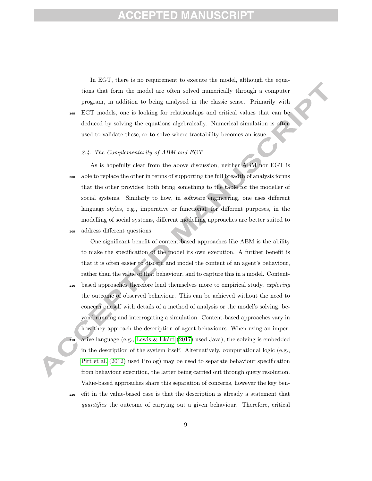In EGT, there is no requirement to execute the model, although the equations that form the model are often solved numerically through a computer program, in addition to being analysed in the classic sense. Primarily with <sup>195</sup> EGT models, one is looking for relationships and critical values that can be deduced by solving the equations algebraically. Numerical simulation is often used to validate these, or to solve where tractability becomes an issue.

#### 2.4. The Complementarity of ABM and EGT

As is hopefully clear from the above discussion, neither ABM nor EGT is <sup>200</sup> able to replace the other in terms of supporting the full breadth of analysis forms that the other provides; both bring something to the table for the modeller of social systems. Similarly to how, in software engineering, one uses different language styles, e.g., imperative or functional, for different purposes, in the modelling of social systems, different modelling approaches are better suited to <sup>205</sup> address different questions.

One significant benefit of content-based approaches like ABM is the ability to make the specification of the model its own execution. A further benefit is that it is often easier to discern and model the content of an agent's behaviour, rather than the value of that behaviour, and to capture this in a model. Content-<sup>210</sup> based approaches therefore lend themselves more to empirical study, exploring the outcome of observed behaviour. This can be achieved without the need to concern oneself with details of a method of analysis or the model's solving, beyond running and interrogating a simulation. Content-based approaches vary in how they approach the description of agent behaviours. When using an imperative language (e.g., Lewis & Ekárt (2017) used Java), the solving is embedded in the description of the system itself. Alternatively, computational logic (e.g., Pitt et al. (2012) used Prolog) may be used to separate behaviour specification from behaviour execution, the latter being carried out through query resolution. Value-based approaches share this separation of concerns, however the key ben-<sup>220</sup> efit in the value-based case is that the description is already a statement that quantifies the outcome of carrying out a given behaviour. Therefore, critical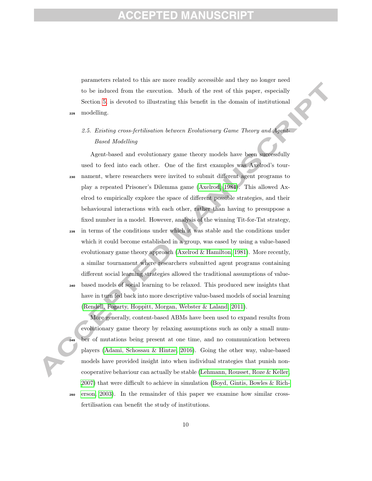parameters related to this are more readily accessible and they no longer need to be induced from the execution. Much of the rest of this paper, especially Section 5, is devoted to illustrating this benefit in the domain of institutional <sup>225</sup> modelling.

#### 2.5. Existing cross-fertilisation between Evolutionary Game Theory and Agent-Based Modelling

Agent-based and evolutionary game theory models have been successfully used to feed into each other. One of the first examples was Axelrod's tour-<sup>230</sup> nament, where researchers were invited to submit different agent programs to play a repeated Prisoner's Dilemma game (Axelrod, 1984). This allowed Axelrod to empirically explore the space of different possible strategies, and their behavioural interactions with each other, rather than having to presuppose a fixed number in a model. However, analysis of the winning Tit-for-Tat strategy,

<sup>235</sup> in terms of the conditions under which it was stable and the conditions under which it could become established in a group, was eased by using a value-based evolutionary game theory approach (Axelrod & Hamilton, 1981). More recently, a similar tournament where researchers submitted agent programs containing different social learning strategies allowed the traditional assumptions of value-<sup>240</sup> based models of social learning to be relaxed. This produced new insights that have in turn fed back into more descriptive value-based models of social learning (Rendell, Fogarty, Hoppitt, Morgan, Webster & Laland, 2011).

More generally, content-based ABMs have been used to expand results from evolutionary game theory by relaxing assumptions such as only a small num-<sup>245</sup> ber of mutations being present at one time, and no communication between players (Adami, Schossau & Hintze, 2016). Going the other way, value-based models have provided insight into when individual strategies that punish noncooperative behaviour can actually be stable (Lehmann, Rousset, Roze & Keller, 2007) that were difficult to achieve in simulation (Boyd, Gintis, Bowles & Rich-<sup>250</sup> erson, 2003). In the remainder of this paper we examine how similar crossfertilisation can benefit the study of institutions.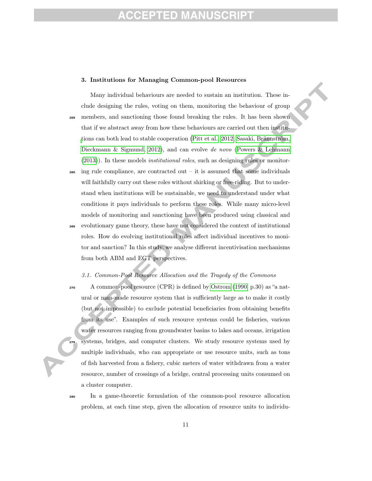# ED MZ

#### 3. Institutions for Managing Common-pool Resources

Many individual behaviours are needed to sustain an institution. These include designing the rules, voting on them, monitoring the behaviour of group <sup>255</sup> members, and sanctioning those found breaking the rules. It has been shown that if we abstract away from how these behaviours are carried out then institutions can both lead to stable cooperation (Pitt et al., 2012; Sasaki, Brännström, Dieckmann & Sigmund, 2012), and can evolve de novo (Powers & Lehmann (2013)). In these models institutional roles, such as designing rules or monitor-

- $_{260}$  ing rule compliance, are contracted out it is assumed that some individuals will faithfully carry out these roles without shirking or free-riding. But to understand when institutions will be sustainable, we need to understand under what conditions it pays individuals to perform these roles. While many micro-level models of monitoring and sanctioning have been produced using classical and
- <sup>265</sup> evolutionary game theory, these have not considered the context of institutional roles. How do evolving institutional rules affect individual incentives to monitor and sanction? In this study, we analyse different incentivisation mechanisms from both ABM and EGT perspectives.

#### 3.1. Common-Pool Resource Allocation and the Tragedy of the Commons

<sup>270</sup> A common-pool resource (CPR) is defined by Ostrom (1990, p.30) as "a natural or man-made resource system that is sufficiently large as to make it costly (but not impossible) to exclude potential beneficiaries from obtaining benefits from its use". Examples of such resource systems could be fisheries, various water resources ranging from groundwater basins to lakes and oceans, irrigation systems, bridges, and computer clusters. We study resource systems used by multiple individuals, who can appropriate or use resource units, such as tons of fish harvested from a fishery, cubic meters of water withdrawn from a water resource, number of crossings of a bridge, central processing units consumed on a cluster computer.

<sup>280</sup> In a game-theoretic formulation of the common-pool resource allocation problem, at each time step, given the allocation of resource units to individu-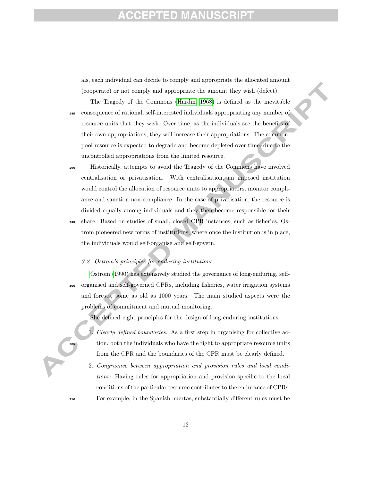# ED MZ

als, each individual can decide to comply and appropriate the allocated amount (cooperate) or not comply and appropriate the amount they wish (defect).

The Tragedy of the Commons (Hardin, 1968) is defined as the inevitable <sup>285</sup> consequence of rational, self-interested individuals appropriating any number of resource units that they wish. Over time, as the individuals see the benefits of their own appropriations, they will increase their appropriations. The commonpool resource is expected to degrade and become depleted over time, due to the uncontrolled appropriations from the limited resource.

<sup>290</sup> Historically, attempts to avoid the Tragedy of the Commons have involved centralisation or privatisation. With centralisation, an imposed institution would control the allocation of resource units to appropriators, monitor compliance and sanction non-compliance. In the case of privatisation, the resource is divided equally among individuals and they then become responsible for their <sup>295</sup> share. Based on studies of small, closed CPR instances, such as fisheries, Ostrom pioneered new forms of institutions, where once the institution is in place, the individuals would self-organise and self-govern.

#### 3.2. Ostrom's principles for enduring institutions

Ostrom (1990) has extensively studied the governance of long-enduring, self-<sup>300</sup> organised and self-governed CPRs, including fisheries, water irrigation systems and forests, some as old as 1000 years. The main studied aspects were the problems of commitment and mutual monitoring.

She defined eight principles for the design of long-enduring institutions:

- Clearly defined boundaries: As a first step in organising for collective action, both the individuals who have the right to appropriate resource units from the CPR and the boundaries of the CPR must be clearly defined.
- 2. Congruence between appropriation and provision rules and local conditions: Having rules for appropriation and provision specific to the local conditions of the particular resource contributes to the endurance of CPRs. <sup>310</sup> For example, in the Spanish huertas, substantially different rules must be

12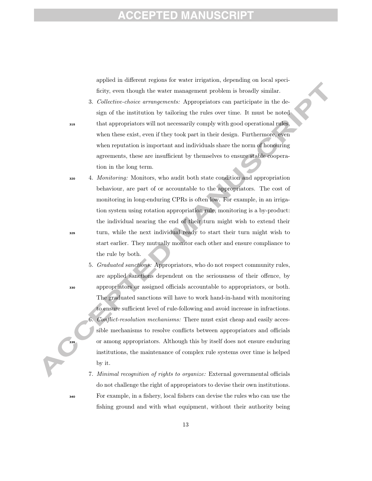### FD M

applied in different regions for water irrigation, depending on local specificity, even though the water management problem is broadly similar.

- 3. Collective-choice arrangements: Appropriators can participate in the design of the institution by tailoring the rules over time. It must be noted <sup>315</sup> that appropriators will not necessarily comply with good operational rules, when these exist, even if they took part in their design. Furthermore, even when reputation is important and individuals share the norm of honouring agreements, these are insufficient by themselves to ensure stable cooperation in the long term.
- <sup>320</sup> 4. Monitoring: Monitors, who audit both state condition and appropriation behaviour, are part of or accountable to the appropriators. The cost of monitoring in long-enduring CPRs is often low. For example, in an irrigation system using rotation appropriation rule, monitoring is a by-product: the individual nearing the end of their turn might wish to extend their <sup>325</sup> turn, while the next individual ready to start their turn might wish to start earlier. They mutually monitor each other and ensure compliance to the rule by both.
- 5. Graduated sanctions: Appropriators, who do not respect community rules, are applied sanctions dependent on the seriousness of their offence, by <sup>330</sup> appropriators or assigned officials accountable to appropriators, or both. The graduated sanctions will have to work hand-in-hand with monitoring to ensure sufficient level of rule-following and avoid increase in infractions. 6. Conflict-resolution mechanisms: There must exist cheap and easily accessible mechanisms to resolve conflicts between appropriators and officials <sup>335</sup> or among appropriators. Although this by itself does not ensure enduring institutions, the maintenance of complex rule systems over time is helped by it.
- 7. Minimal recognition of rights to organize: External governmental officials do not challenge the right of appropriators to devise their own institutions. <sup>340</sup> For example, in a fishery, local fishers can devise the rules who can use the fishing ground and with what equipment, without their authority being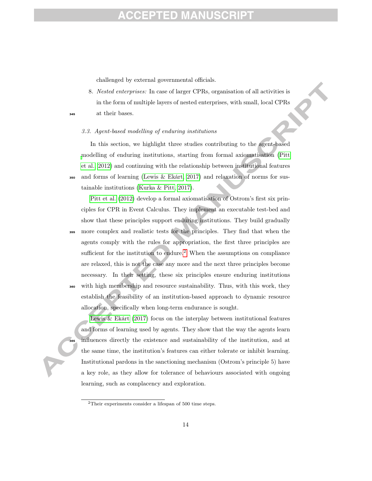challenged by external governmental officials.

8. Nested enterprises: In case of larger CPRs, organisation of all activities is in the form of multiple layers of nested enterprises, with small, local CPRs <sup>345</sup> at their bases.

#### 3.3. Agent-based modelling of enduring institutions

In this section, we highlight three studies contributing to the agent-based modelling of enduring institutions, starting from formal axiomatisation (Pitt et al., 2012) and continuing with the relationship between institutional features  $\frac{356}{250}$  and forms of learning (Lewis & Ekárt, 2017) and relaxation of norms for sustainable institutions (Kurka & Pitt, 2017).

Pitt et al. (2012) develop a formal axiomatisation of Ostrom's first six principles for CPR in Event Calculus. They implement an executable test-bed and show that these principles support enduring institutions. They build gradually <sup>355</sup> more complex and realistic tests for the principles. They find that when the agents comply with the rules for appropriation, the first three principles are sufficient for the institution to endure.<sup>2</sup> When the assumptions on compliance are relaxed, this is not the case any more and the next three principles become necessary. In their setting, these six principles ensure enduring institutions <sup>360</sup> with high membership and resource sustainability. Thus, with this work, they establish the feasibility of an institution-based approach to dynamic resource allocation, specifically when long-term endurance is sought.

Lewis & Ekárt (2017) focus on the interplay between institutional features and forms of learning used by agents. They show that the way the agents learn influences directly the existence and sustainability of the institution, and at the same time, the institution's features can either tolerate or inhibit learning. Institutional pardons in the sanctioning mechanism (Ostrom's principle 5) have a key role, as they allow for tolerance of behaviours associated with ongoing learning, such as complacency and exploration.

<sup>2</sup>Their experiments consider a lifespan of 500 time steps.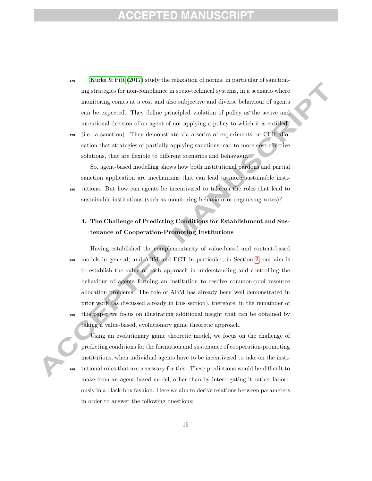- <sup>370</sup> Kurka & Pitt (2017) study the relaxation of norms, in particular of sanctioning strategies for non-compliance in socio-technical systems, in a scenario where monitoring comes at a cost and also subjective and diverse behaviour of agents can be expected. They define principled violation of policy as"the active and intentional decision of an agent of not applying a policy to which it is entitled"
- <sup>375</sup> (i.e. a sanction). They demonstrate via a series of experiments on CPR allocation that strategies of partially applying sanctions lead to more cost-effective solutions, that are flexible to different scenarios and behaviour.

So, agent-based modelling shows how both institutional pardons and partial sanction application are mechanisms that can lead to more sustainable insti-<sup>380</sup> tutions. But how can agents be incentivised to take on the roles that lead to sustainable institutions (such as monitoring behaviour or organising votes)?

#### 4. The Challenge of Predicting Conditions for Establishment and Sustenance of Cooperation-Promoting Institutions

Having established the complementarity of value-based and content-based <sup>385</sup> models in general, and ABM and EGT in particular, in Section 2, our aim is to establish the value of each approach in understanding and controlling the behaviour of agents forming an institution to resolve common-pool resource allocation problems. The role of ABM has already been well demonstrated in prior work (as discussed already in this section), therefore, in the remainder of <sup>390</sup> this paper we focus on illustrating additional insight that can be obtained by taking a value-based, evolutionary game theoretic approach.

Using an evolutionary game theoretic model, we focus on the challenge of predicting conditions for the formation and sustenance of cooperation-promoting institutions, when individual agents have to be incentivised to take on the insti-<sup>395</sup> tutional roles that are necessary for this. These predictions would be difficult to make from an agent-based model, other than by interrogating it rather laboriously in a black-box fashion. Here we aim to derive relations between parameters in order to answer the following questions: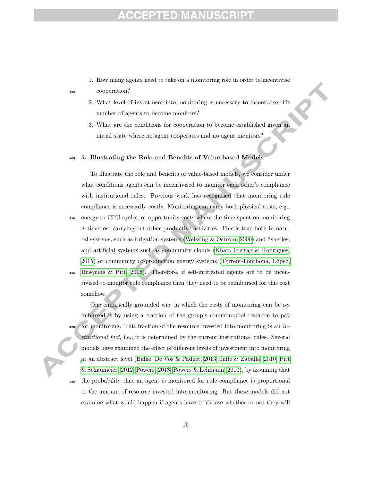# $\qquad \qquad \blacksquare$

1. How many agents need to take on a monitoring role in order to incentivise

<sup>400</sup> cooperation?

- 2. What level of investment into monitoring is necessary to incentivise this number of agents to become monitors?
- 3. What are the conditions for cooperation to become established given an initial state where no agent cooperates and no agent monitors?

#### <sup>405</sup> 5. Illustrating the Role and Benefits of Value-based Models

To illustrate the role and benefits of value-based models, we consider under what conditions agents can be incentivised to monitor each other's compliance with institutional rules. Previous work has recognised that monitoring rule compliance is necessarily costly. Monitoring can carry both physical costs, e.g., <sup>410</sup> energy or CPU cycles, or opportunity costs where the time spent on monitoring is time lost carrying out other productive activities. This is true both in natural systems, such as irrigation systems (Weissing & Ostrom, 2000) and fisheries, and artificial systems such as community clouds (Khan, Freitag & Rodrigues,

<sup>415</sup> Busquets & Pitt, 2016). Therefore, if self-interested agents are to be incentivised to monitor rule compliance then they need to be reimbursed for this cost somehow.

2015) or community co-production energy systems (Torrent-Fontbona, López,

One empirically grounded way in which the costs of monitoring can be reimbursed is by using a fraction of the group's common-pool resource to pay for monitoring. This fraction of the resource invested into monitoring is an  $in$ stitutional fact, i.e., it is determined by the current institutional rules. Several models have examined the effect of different levels of investment into monitoring at an abstract level (Balke, De Vos & Padget, 2013; Jaffe & Zaballa, 2010; Pitt & Schaumeier, 2012; Powers, 2018; Powers & Lehmann, 2013), by assuming that <sup>425</sup> the probability that an agent is monitored for rule compliance is proportional

to the amount of resource invested into monitoring. But these models did not examine what would happen if agents have to choose whether or not they will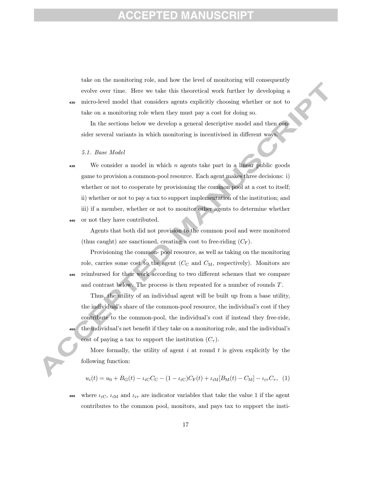take on the monitoring role, and how the level of monitoring will consequently evolve over time. Here we take this theoretical work further by developing a <sup>430</sup> micro-level model that considers agents explicitly choosing whether or not to take on a monitoring role when they must pay a cost for doing so.

In the sections below we develop a general descriptive model and then consider several variants in which monitoring is incentivised in different ways.

#### 5.1. Base Model

 $\frac{435}{435}$  We consider a model in which *n* agents take part in a linear public goods game to provision a common-pool resource. Each agent makes three decisions: i) whether or not to cooperate by provisioning the common pool at a cost to itself; ii) whether or not to pay a tax to support implementation of the institution; and iii) if a member, whether or not to monitor other agents to determine whether <sup>440</sup> or not they have contributed.

Agents that both did not provision to the common pool and were monitored (thus caught) are sanctioned, creating a cost to free-riding  $(C_F)$ .

Provisioning the common- pool resource, as well as taking on the monitoring role, carries some cost to the agent  $(C_{\rm C}$  and  $C_{\rm M}$ , respectively). Monitors are <sup>445</sup> reimbursed for their work according to two different schemes that we compare and contrast below. The process is then repeated for a number of rounds T.

Thus, the utility of an individual agent will be built up from a base utility, the individual's share of the common-pool resource, the individual's cost if they contribute to the common-pool, the individual's cost if instead they free-ride, <sup>450</sup> the individual's net benefit if they take on a monitoring role, and the individual's cost of paying a tax to support the institution  $(C_\tau)$ .

More formally, the utility of agent  $i$  at round  $t$  is given explicitly by the following function:

$$
u_i(t) = u_0 + B_{\rm G}(t) - \iota_{i\rm C}C_{\rm C} - (1 - \iota_{i\rm C})C_{\rm F}(t) + \iota_{i\rm M}[B_{\rm M}(t) - C_{\rm M}] - \iota_{i\tau}C_{\tau}, \tag{1}
$$

455 where  $\iota_{i\text{C}}$ ,  $\iota_{i\text{M}}$  and  $\iota_{i\tau}$  are indicator variables that take the value 1 if the agent contributes to the common pool, monitors, and pays tax to support the insti-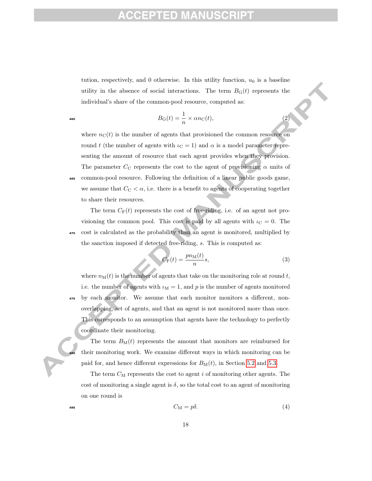tution, respectively, and 0 otherwise. In this utility function,  $u_0$  is a baseline utility in the absence of social interactions. The term  $B_G(t)$  represents the individual's share of the common-pool resource, computed as:

$$
B_{\mathcal{G}}(t) = \frac{1}{n} \times \alpha n_{\mathcal{C}}(t),\tag{2}
$$

where  $n<sub>C</sub>(t)$  is the number of agents that provisioned the common resource on round t (the number of agents with  $\iota_{C} = 1$ ) and  $\alpha$  is a model parameter representing the amount of resource that each agent provides when they provision. The parameter  $C_{\text{C}}$  represents the cost to the agent of provisioning  $\alpha$  units of <sup>465</sup> common-pool resource. Following the definition of a linear public goods game, we assume that  $C_{\text{C}} < \alpha$ , i.e. there is a benefit to agents of cooperating together to share their resources.

The term  $C_F(t)$  represents the cost of free-riding, i.e. of an agent not provisioning the common pool. This cost is paid by all agents with  $\iota_{\rm C} = 0$ . The <sup>470</sup> cost is calculated as the probability than an agent is monitored, multiplied by the sanction imposed if detected free-riding, s. This is computed as:

$$
C_{\mathcal{F}}(t) = \frac{p n_{\mathcal{M}}(t)}{n} s,\tag{3}
$$

where  $n_M(t)$  is the number of agents that take on the monitoring role at round t, i.e. the number of agents with  $\iota_M = 1$ , and p is the number of agents monitored <sup>475</sup> by each monitor. We assume that each monitor monitors a different, nonoverlapping, set of agents, and that an agent is not monitored more than once. This corresponds to an assumption that agents have the technology to perfectly coordinate their monitoring.

The term  $B_M(t)$  represents the amount that monitors are reimbursed for their monitoring work. We examine different ways in which monitoring can be paid for, and hence different expressions for  $B_M(t)$ , in Section 5.2 and 5.3.

The term  $C_M$  represents the cost to agent i of monitoring other agents. The cost of monitoring a single agent is  $\delta$ , so the total cost to an agent of monitoring on one round is

$$
C_{\mathcal{M}} = p\delta. \tag{4}
$$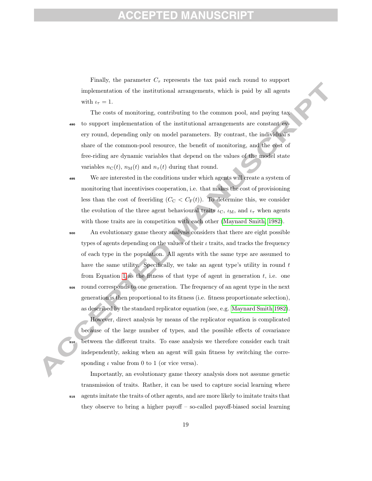### ED

Finally, the parameter  $C_{\tau}$  represents the tax paid each round to support implementation of the institutional arrangements, which is paid by all agents with  $\iota_{\tau} = 1$ .

The costs of monitoring, contributing to the common pool, and paying tax <sup>490</sup> to support implementation of the institutional arrangements are constant every round, depending only on model parameters. By contrast, the individual's share of the common-pool resource, the benefit of monitoring, and the cost of free-riding are dynamic variables that depend on the values of the model state variables  $n_{\text{C}}(t)$ ,  $n_{\text{M}}(t)$  and  $n_{\tau}(t)$  during that round.

<sup>495</sup> We are interested in the conditions under which agents will create a system of monitoring that incentivises cooperation, i.e. that makes the cost of provisioning less than the cost of freeriding  $(C_{\rm C} < C_{\rm F}(t))$ . To determine this, we consider the evolution of the three agent behavioural traits  $\iota_{\rm C}$ ,  $\iota_{\rm M}$ , and  $\iota_{\tau}$  when agents with those traits are in competition with each other (Maynard Smith, 1982).

<sup>500</sup> An evolutionary game theory analysis considers that there are eight possible types of agents depending on the values of their  $\iota$  traits, and tracks the frequency of each type in the population. All agents with the same type are assumed to have the same utility. Specifically, we take an agent type's utility in round  $t$ from Equation 1 as the fitness of that type of agent in generation  $t$ , i.e. one <sup>505</sup> round corresponds to one generation. The frequency of an agent type in the next generation is then proportional to its fitness (i.e. fitness proportionate selection), as described by the standard replicator equation (see, e.g. Maynard Smith 1982).

However, direct analysis by means of the replicator equation is complicated because of the large number of types, and the possible effects of covariance <sup>510</sup> between the different traits. To ease analysis we therefore consider each trait independently, asking when an agent will gain fitness by switching the corresponding  $\iota$  value from 0 to 1 (or vice versa).

Importantly, an evolutionary game theory analysis does not assume genetic transmission of traits. Rather, it can be used to capture social learning where <sup>515</sup> agents imitate the traits of other agents, and are more likely to imitate traits that they observe to bring a higher payoff – so-called payoff-biased social learning

19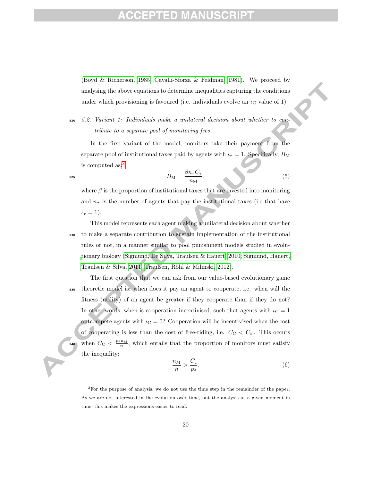### ED M7

(Boyd & Richerson, 1985; Cavalli-Sforza & Feldman, 1981). We proceed by analysing the above equations to determine inequalities capturing the conditions under which provisioning is favoured (i.e. individuals evolve an  $\iota_{\rm C}$  value of 1).

<sup>520</sup> 5.2. Variant 1: Individuals make a unilateral decision about whether to contribute to a separate pool of monitoring fees

In the first variant of the model, monitors take their payment from the separate pool of institutional taxes paid by agents with  $\iota_{\tau} = 1$ . Specifically,  $B_{\rm M}$ is computed as:3

$$
B_{\rm M} = \frac{\beta n_{\tau} C_{\tau}}{n_{\rm M}},\tag{5}
$$

where  $\beta$  is the proportion of institutional taxes that are invested into monitoring and  $n<sub>\tau</sub>$  is the number of agents that pay the institutional taxes (i.e that have  $\iota_{\tau} = 1$ ).

- This model represents each agent making a unilateral decision about whether <sup>530</sup> to make a separate contribution to sustain implementation of the institutional rules or not, in a manner similar to pool punishment models studied in evolutionary biology (Sigmund, De Silva, Traulsen & Hauert, 2010; Sigmund, Hauert, Traulsen & Silva, 2011; Traulsen, Röhl & Milinski, 2012).
- The first question that we can ask from our value-based evolutionary game <sup>535</sup> theoretic model is: when does it pay an agent to cooperate, i.e. when will the fitness (utility) of an agent be greater if they cooperate than if they do not? In other words, when is cooperation incentivised, such that agents with  $\iota_{\rm C} = 1$ outcompete agents with  $\iota_C = 0$ ? Cooperation will be incentivised when the cost of cooperating is less than the cost of free-riding, i.e.  $C_{\text{C}} < C_{\text{F}}$ . This occurs s<sub>40</sub> when  $C_{\text{C}} < \frac{psn_M}{n}$ , which entails that the proportion of monitors must satisfy the inequality:

$$
\frac{n_{\rm M}}{n} > \frac{C_{\rm c}}{ps}.\tag{6}
$$

<sup>3</sup>For the purpose of analysis, we do not use the time step in the remainder of the paper. As we are not interested in the evolution over time, but the analysis at a given moment in time, this makes the expressions easier to read.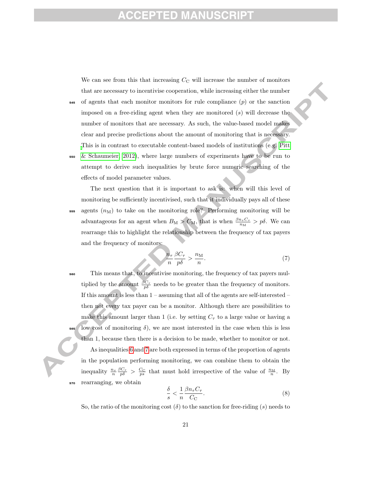### ED.

We can see from this that increasing  $C_{\text{C}}$  will increase the number of monitors that are necessary to incentivise cooperation, while increasing either the number

- $\mathfrak{so}$  of agents that each monitor monitors for rule compliance  $(p)$  or the sanction imposed on a free-riding agent when they are monitored  $(s)$  will decrease the number of monitors that are necessary. As such, the value-based model makes clear and precise predictions about the amount of monitoring that is necessary. This is in contrast to executable content-based models of institutions (e.g. Pitt
- <sup>550</sup> & Schaumeier, 2012), where large numbers of experiments have to be run to attempt to derive such inequalities by brute force numeric searching of the effects of model parameter values.

The next question that it is important to ask is: when will this level of monitoring be sufficiently incentivised, such that it individually pays all of these  $555$  agents  $(n_M)$  to take on the monitoring role? Performing monitoring will be advantageous for an agent when  $B_M > C_M$ , that is when  $\frac{\beta n_{\tau} C_{\tau}}{n_M} > p\delta$ . We can rearrange this to highlight the relationship between the frequency of tax payers and the frequency of monitors:

$$
\frac{n_{\tau}}{n} \frac{\beta C_{\tau}}{p \delta} > \frac{n_{\rm M}}{n}.
$$
\n(7)

<sup>560</sup> This means that, to incentivise monitoring, the frequency of tax payers multiplied by the amount  $\frac{\beta C_{\tau}}{p\delta}$  needs to be greater than the frequency of monitors. If this amount is less than  $1$  – assuming that all of the agents are self-interested – then not every tax payer can be a monitor. Although there are possibilities to make this amount larger than 1 (i.e. by setting  $C_{\tau}$  to a large value or having a low cost of monitoring  $\delta$ ), we are most interested in the case when this is less than 1, because then there is a decision to be made, whether to monitor or not. As inequalities 6 and 7 are both expressed in terms of the proportion of agents in the population performing monitoring, we can combine them to obtain the inequality  $\frac{n_{\tau}}{n} \frac{\beta C_{\tau}}{p \delta} > \frac{C_{\rm C}}{p \delta}$  that must hold irrespective of the value of  $\frac{n_{\rm M}}{n}$ . By rearranging, we obtain

$$
\frac{\delta}{s} < \frac{1}{n} \frac{\beta n_{\tau} C_{\tau}}{C_{\text{C}}}.\tag{8}
$$

So, the ratio of the monitoring cost  $(\delta)$  to the sanction for free-riding  $(s)$  needs to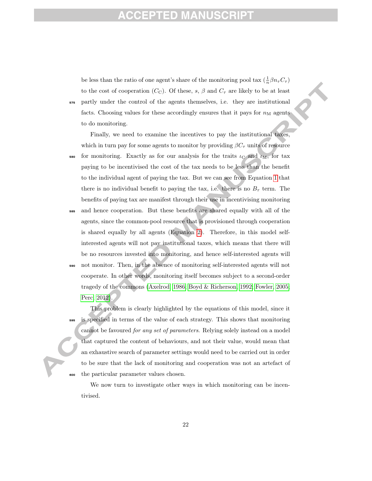be less than the ratio of one agent's share of the monitoring pool tax  $(\frac{1}{n}\beta n_{\tau}C_{\tau})$ to the cost of cooperation ( $C_{\text{C}}$ ). Of these, s,  $\beta$  and  $C_{\tau}$  are likely to be at least <sup>575</sup> partly under the control of the agents themselves, i.e. they are institutional facts. Choosing values for these accordingly ensures that it pays for  $n_M$  agents to do monitoring.

Finally, we need to examine the incentives to pay the institutional taxes, which in turn pay for some agents to monitor by providing  $\beta C_{\tau}$  units of resource

580 for monitoring. Exactly as for our analysis for the traits  $\iota_{\rm C}$  and  $\iota_{\rm M}$ , for tax paying to be incentivised the cost of the tax needs to be less than the benefit to the individual agent of paying the tax. But we can see from Equation 1 that there is no individual benefit to paying the tax, i.e. there is no  $B<sub>\tau</sub>$  term. The benefits of paying tax are manifest through their use in incentivising monitoring

- and hence cooperation. But these benefits are shared equally with all of the agents, since the common-pool resource that is provisioned through cooperation is shared equally by all agents (Equation 2). Therefore, in this model selfinterested agents will not pay institutional taxes, which means that there will be no resources invested into monitoring, and hence self-interested agents will
- <sup>590</sup> not monitor. Then, in the absence of monitoring self-interested agents will not cooperate. In other words, monitoring itself becomes subject to a second-order tragedy of the commons (Axelrod, 1986; Boyd & Richerson, 1992; Fowler, 2005; Perc, 2012).

This problem is clearly highlighted by the equations of this model, since it is specified in terms of the value of each strategy. This shows that monitoring cannot be favoured for any set of parameters. Relying solely instead on a model that captured the content of behaviours, and not their value, would mean that an exhaustive search of parameter settings would need to be carried out in order to be sure that the lack of monitoring and cooperation was not an artefact of <sup>600</sup> the particular parameter values chosen.

We now turn to investigate other ways in which monitoring can be incentivised.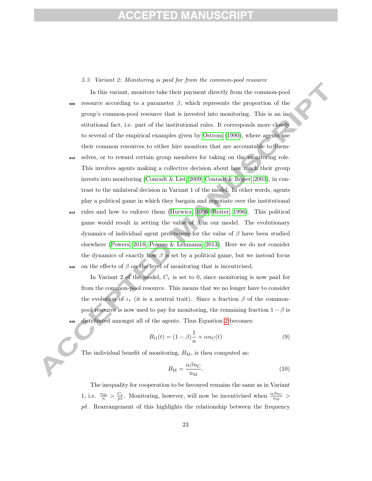### ED MAI

#### 5.3. Variant 2: Monitoring is paid for from the common-pool resource

In this variant, monitors take their payment directly from the common-pool  $\epsilon$ <sub>605</sub> resource according to a parameter  $\beta$ , which represents the proportion of the group's common-pool resource that is invested into monitoring. This is an institutional fact, i.e. part of the institutional rules. It corresponds more closely to several of the empirical examples given by Ostrom (1990), where agents use their common resources to either hire monitors that are accountable to them-

- <sup>610</sup> selves, or to reward certain group members for taking on the monitoring role. This involves agents making a collective decision about how much their group invests into monitoring (Conradt & List, 2009; Conradt & Roper, 2003), in contrast to the unilateral decision in Variant 1 of the model. In other words, agents play a political game in which they bargain and negotiate over the institutional
- <sup>615</sup> rules and how to enforce them (Hurwicz, 1996; Reiter, 1996). This political game would result in setting the value of  $\beta$  in our model. The evolutionary dynamics of individual agent preferences for the value of  $\beta$  have been studied elsewhere (Powers, 2018; Powers & Lehmann, 2013). Here we do not consider the dynamics of exactly how  $\beta$  is set by a political game, but we instead focus 620 on the effects of  $β$  on the level of monitoring that is incentivised.

In Variant 2 of the model,  $C_{\tau}$  is set to 0, since monitoring is now paid for from the common-pool resource. This means that we no longer have to consider the evolution of  $i_{\tau}$  (it is a neutral trait). Since a fraction  $\beta$  of the commonpool resource is now used to pay for monitoring, the remaining fraction  $1 - \beta$  is <sup>625</sup> distributed amongst all of the agents. Thus Equation 2 becomes:

$$
B_{\mathcal{G}}(t) = (1 - \beta) \frac{1}{n} \times \alpha n_{\mathcal{C}}(t)
$$
\n(9)

The individual benefit of monitoring,  $B_M$ , is then computed as:

$$
B_{\rm M} = \frac{\alpha \beta n_{\rm C}}{n_{\rm M}}.\tag{10}
$$

The inequality for cooperation to be favoured remains the same as in Variant 1, i.e.  $\frac{n_M}{n} > \frac{C_c}{ps}$ . Monitoring, however, will now be incentivised when  $\frac{\alpha\beta n_C}{n_M}$  $p\delta$ . Rearrangement of this highlights the relationship between the frequency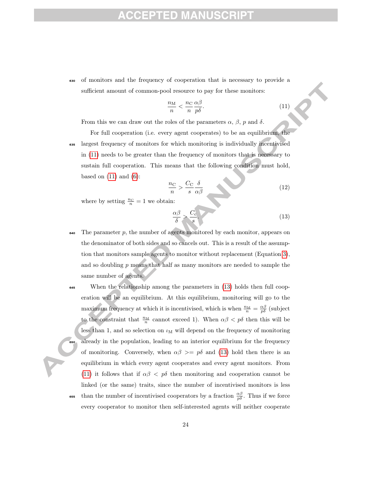<sup>630</sup> of monitors and the frequency of cooperation that is necessary to provide a sufficient amount of common-pool resource to pay for these monitors:

$$
\frac{n_{\rm M}}{n} < \frac{n_{\rm C}}{n} \frac{\alpha \beta}{p \delta}.\tag{11}
$$

From this we can draw out the roles of the parameters  $\alpha$ ,  $\beta$ ,  $p$  and  $\delta$ .

For full cooperation (i.e. every agent cooperates) to be an equilibrium, the <sup>635</sup> largest frequency of monitors for which monitoring is individually incentivised in (11) needs to be greater than the frequency of monitors that is necessary to sustain full cooperation. This means that the following condition must hold, based on  $(11)$  and  $(6)$ :

$$
\frac{n_{\rm C}}{n} > \frac{C_{\rm C}}{s} \frac{\delta}{\alpha \beta} \tag{12}
$$

where by setting  $\frac{n_C}{n} = 1$  we obtain:

$$
\frac{\alpha\beta}{\delta} > \frac{C_{\rm c}}{s} \tag{13}
$$

- $\bullet$ 40 The parameter p, the number of agents monitored by each monitor, appears on the denominator of both sides and so cancels out. This is a result of the assumption that monitors sample agents to monitor without replacement (Equation 3), and so doubling  $p$  means that half as many monitors are needed to sample the same number of agents.
- <sup>645</sup> When the relationship among the parameters in (13) holds then full cooperation will be an equilibrium. At this equilibrium, monitoring will go to the maximum frequency at which it is incentivised, which is when  $\frac{n_M}{n} = \frac{\alpha \beta}{p \delta}$  (subject to the constraint that  $\frac{n_M}{n}$  cannot exceed 1). When  $\alpha\beta < p\delta$  then this will be less than 1, and so selection on  $\iota_M$  will depend on the frequency of monitoring already in the population, leading to an interior equilibrium for the frequency of monitoring. Conversely, when  $\alpha\beta \geq p\delta$  and (13) hold then there is an equilibrium in which every agent cooperates and every agent monitors. From (11) it follows that if  $\alpha\beta < p\delta$  then monitoring and cooperation cannot be linked (or the same) traits, since the number of incentivised monitors is less **655** than the number of incentivised cooperators by a fraction  $\frac{\alpha\beta}{p\delta}$ . Thus if we force every cooperator to monitor then self-interested agents will neither cooperate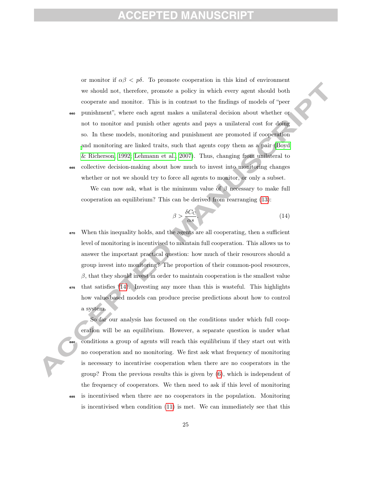### ED MANU

or monitor if  $\alpha\beta < p\delta$ . To promote cooperation in this kind of environment we should not, therefore, promote a policy in which every agent should both cooperate and monitor. This is in contrast to the findings of models of "peer <sup>660</sup> punishment", where each agent makes a unilateral decision about whether or

not to monitor and punish other agents and pays a unilateral cost for doing so. In these models, monitoring and punishment are promoted if cooperation and monitoring are linked traits, such that agents copy them as a pair (Boyd & Richerson, 1992; Lehmann et al., 2007). Thus, changing from unilateral to <sup>665</sup> collective decision-making about how much to invest into monitoring changes

We can now ask, what is the minimum value of  $\beta$  necessary to make full cooperation an equilibrium? This can be derived from rearranging (13):

whether or not we should try to force all agents to monitor, or only a subset.

$$
\beta > \frac{\delta C_{\rm C}}{\alpha s} \tag{14}
$$

<sup>670</sup> When this inequality holds, and the agents are all cooperating, then a sufficient level of monitoring is incentivised to maintain full cooperation. This allows us to answer the important practical question: how much of their resources should a group invest into monitoring? The proportion of their common-pool resources,  $\beta$ , that they should invest in order to maintain cooperation is the smallest value  $\epsilon_{55}$  that satisfies (14). Investing any more than this is wasteful. This highlights how value-based models can produce precise predictions about how to control a system.

So far our analysis has focussed on the conditions under which full cooperation will be an equilibrium. However, a separate question is under what <sup>680</sup> conditions a group of agents will reach this equilibrium if they start out with no cooperation and no monitoring. We first ask what frequency of monitoring is necessary to incentivise cooperation when there are no cooperators in the group? From the previous results this is given by (6), which is independent of the frequency of cooperators. We then need to ask if this level of monitoring <sup>685</sup> is incentivised when there are no cooperators in the population. Monitoring is incentivised when condition (11) is met. We can immediately see that this

25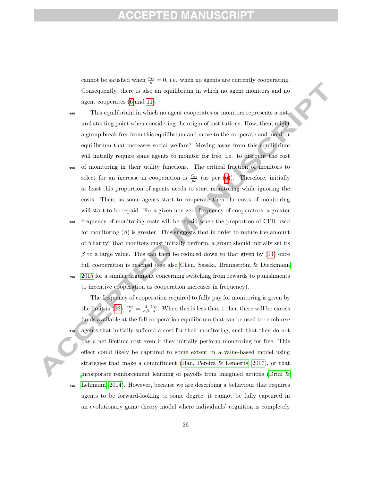cannot be satisfied when  $\frac{n_C}{n} = 0$ , i.e. when no agents are currently cooperating. Consequently, there is also an equilibrium in which no agent monitors and no agent cooperates (6 and 11).

- <sup>690</sup> This equilibrium in which no agent cooperates or monitors represents a natural starting point when considering the origin of institutions. How, then, might a group break free from this equilibrium and move to the cooperate and monitor equilibrium that increases social welfare? Moving away from this equilibrium will initially require some agents to monitor for free, i.e. to discount the cost <sup>695</sup> of monitoring in their utility functions. The critical fraction of monitors to
- select for an increase in cooperation is  $\frac{C_{\rm C}}{ps}$  (as per (6)). Therefore, initially at least this proportion of agents needs to start monitoring while ignoring the costs. Then, as some agents start to cooperate then the costs of monitoring will start to be repaid. For a given non-zero frequency of cooperators, a greater

<sup>700</sup> frequency of monitoring costs will be repaid when the proportion of CPR used for monitoring  $(\beta)$  is greater. This suggests that in order to reduce the amount of "charity" that monitors must initially perform, a group should initially set its  $\beta$  to a large value. This can then be reduced down to that given by (14) once full cooperation is reached (see also Chen, Sasaki, Brännström & Dieckmann <sup>705</sup> 2015 for a similar argument concerning switching from rewards to punishments to incentive cooperation as cooperation increases in frequency).

The frequency of cooperation required to fully pay for monitoring is given by the limit in (12),  $\frac{n_C}{n} = \frac{\delta}{\alpha \beta} \frac{C_C}{s}$ . When this is less than 1 then there will be excess funds available at the full cooperation equilibrium that can be used to reimburse agents that initially suffered a cost for their monitoring, such that they do not pay a net lifetime cost even if they initially perform monitoring for free. This effect could likely be captured to some extent in a value-based model using strategies that make a commitment (Han, Pereira & Lenaerts, 2017), or that incorporate reinforcement learning of payoffs from imagined actions (Dridi & <sup>715</sup> Lehmann, 2014). However, because we are describing a behaviour that requires agents to be forward-looking to some degree, it cannot be fully captured in an evolutionary game theory model where individuals' cognition is completely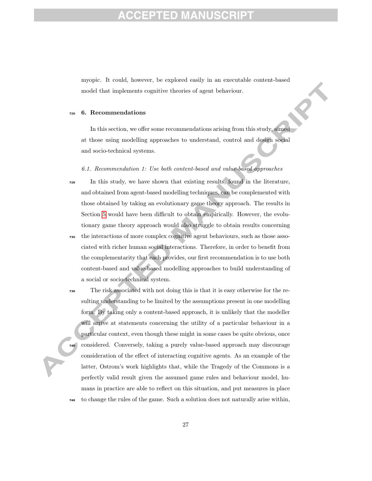myopic. It could, however, be explored easily in an executable content-based model that implements cognitive theories of agent behaviour.

#### <sup>720</sup> 6. Recommendations

In this section, we offer some recommendations arising from this study, aimed at those using modelling approaches to understand, control and design social and socio-technical systems.

6.1. Recommendation 1: Use both content-based and value-based approaches

- <sup>725</sup> In this study, we have shown that existing results, found in the literature, and obtained from agent-based modelling techniques, can be complemented with those obtained by taking an evolutionary game theory approach. The results in Section 5 would have been difficult to obtain empirically. However, the evolutionary game theory approach would also struggle to obtain results concerning
- <sup>730</sup> the interactions of more complex cognitive agent behaviours, such as those associated with richer human social interactions. Therefore, in order to benefit from the complementarity that each provides, our first recommendation is to use both content-based and value-based modelling approaches to build understanding of a social or socio-technical system.
- <sup>735</sup> The risk associated with not doing this is that it is easy otherwise for the resulting understanding to be limited by the assumptions present in one modelling form. By taking only a content-based approach, it is unlikely that the modeller will arrive at statements concerning the utility of a particular behaviour in a particular context, even though these might in some cases be quite obvious, once <sup>740</sup> considered. Conversely, taking a purely value-based approach may discourage consideration of the effect of interacting cognitive agents. As an example of the latter, Ostrom's work highlights that, while the Tragedy of the Commons is a perfectly valid result given the assumed game rules and behaviour model, humans in practice are able to reflect on this situation, and put measures in place <sup>745</sup> to change the rules of the game. Such a solution does not naturally arise within,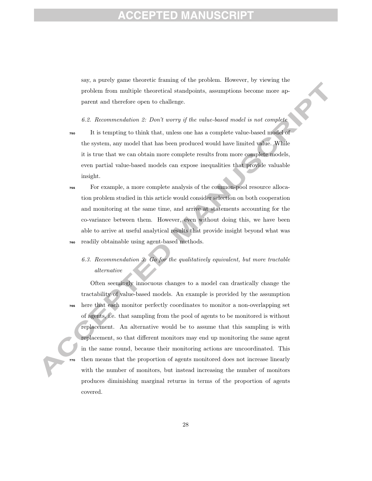# ED M7

say, a purely game theoretic framing of the problem. However, by viewing the problem from multiple theoretical standpoints, assumptions become more apparent and therefore open to challenge.

6.2. Recommendation 2: Don't worry if the value-based model is not complete

- <sup>750</sup> It is tempting to think that, unless one has a complete value-based model of the system, any model that has been produced would have limited value. While it is true that we can obtain more complete results from more complete models, even partial value-based models can expose inequalities that provide valuable insight.
- <sup>755</sup> For example, a more complete analysis of the common-pool resource allocation problem studied in this article would consider selection on both cooperation and monitoring at the same time, and arrive at statements accounting for the co-variance between them. However, even without doing this, we have been able to arrive at useful analytical results that provide insight beyond what was readily obtainable using agent-based methods.
	- 6.3. Recommendation 3: Go for the qualitatively equivalent, but more tractable alternative

Often seemingly innocuous changes to a model can drastically change the tractability of value-based models. An example is provided by the assumption <sup>765</sup> here that each monitor perfectly coordinates to monitor a non-overlapping set of agents, i.e. that sampling from the pool of agents to be monitored is without replacement. An alternative would be to assume that this sampling is with replacement, so that different monitors may end up monitoring the same agent in the same round, because their monitoring actions are uncoordinated. This then means that the proportion of agents monitored does not increase linearly with the number of monitors, but instead increasing the number of monitors produces diminishing marginal returns in terms of the proportion of agents covered.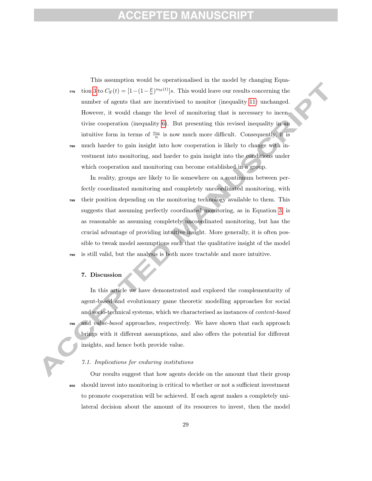### ED M7

This assumption would be operationalised in the model by changing Equa-<sup>775</sup> tion 3 to  $C_F(t) = [1 - (1 - \frac{p}{n})^{n_M(t)}]s$ . This would leave our results concerning the number of agents that are incentivised to monitor (inequality 11) unchanged. However, it would change the level of monitoring that is necessary to incentivise cooperation (inequality 6). But presenting this revised inequality in an intuitive form in terms of  $\frac{n_M}{n}$  is now much more difficult. Consequently, it is <sup>780</sup> much harder to gain insight into how cooperation is likely to change with investment into monitoring, and harder to gain insight into the conditions under which cooperation and monitoring can become established in a group.

In reality, groups are likely to lie somewhere on a continuum between perfectly coordinated monitoring and completely uncoordinated monitoring, with <sup>785</sup> their position depending on the monitoring technology available to them. This suggests that assuming perfectly coordinated monitoring, as in Equation 3, is as reasonable as assuming completely uncoordinated monitoring, but has the crucial advantage of providing intuitive insight. More generally, it is often possible to tweak model assumptions such that the qualitative insight of the model is still valid, but the analysis is both more tractable and more intuitive.

#### 7. Discussion

In this article we have demonstrated and explored the complementarity of agent-based and evolutionary game theoretic modelling approaches for social and socio-technical systems, which we characterised as instances of *content-based* and *value-based* approaches, respectively. We have shown that each approach brings with it different assumptions, and also offers the potential for different insights, and hence both provide value.

#### 7.1. Implications for enduring institutions

Our results suggest that how agents decide on the amount that their group <sup>800</sup> should invest into monitoring is critical to whether or not a sufficient investment to promote cooperation will be achieved. If each agent makes a completely unilateral decision about the amount of its resources to invest, then the model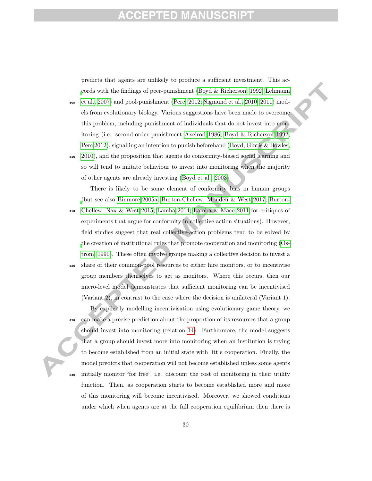predicts that agents are unlikely to produce a sufficient investment. This accords with the findings of peer-punishment (Boyd & Richerson, 1992; Lehmann

- $\frac{1}{205}$  et al., 2007) and pool-punishment (Perc, 2012; Sigmund et al., 2010, 2011) models from evolutionary biology. Various suggestions have been made to overcome this problem, including punishment of individuals that do not invest into monitoring (i.e. second-order punishment Axelrod 1986; Boyd & Richerson 1992; Perc 2012), signalling an intention to punish beforehand (Boyd, Gintis & Bowles,
- <sup>810</sup> 2010), and the proposition that agents do conformity-biased social learning and so will tend to imitate behaviour to invest into monitoring when the majority of other agents are already investing (Boyd et al., 2003).

There is likely to be some element of conformity bias in human groups (but see also Binmore 2005a; Burton-Chellew, Mouden & West 2017; Burton-

- <sup>815</sup> Chellew, Nax & West 2015; Lamba 2014; Lamba & Mace 2011 for critiques of experiments that argue for conformity in collective action situations). However, field studies suggest that real collective-action problems tend to be solved by the creation of institutional rules that promote cooperation and monitoring (Ostrom, 1990). These often involve groups making a collective decision to invest a <sup>820</sup> share of their common-pool resources to either hire monitors, or to incentivise
- group members themselves to act as monitors. Where this occurs, then our micro-level model demonstrates that sufficient monitoring can be incentivised (Variant 2), in contrast to the case where the decision is unilateral (Variant 1).

By explicitly modelling incentivisation using evolutionary game theory, we can make a precise prediction about the proportion of its resources that a group should invest into monitoring (relation 14). Furthermore, the model suggests that a group should invest more into monitoring when an institution is trying to become established from an initial state with little cooperation. Finally, the model predicts that cooperation will not become established unless some agents <sup>830</sup> initially monitor "for free", i.e. discount the cost of monitoring in their utility function. Then, as cooperation starts to become established more and more of this monitoring will become incentivised. Moreover, we showed conditions under which when agents are at the full cooperation equilibrium then there is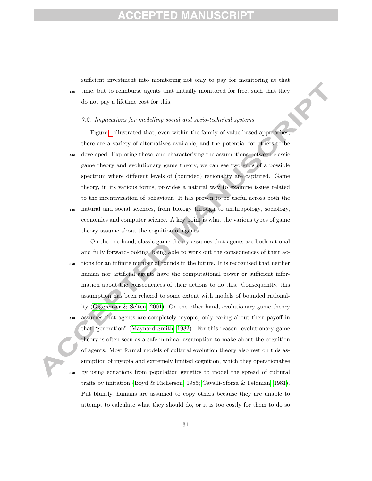sufficient investment into monitoring not only to pay for monitoring at that <sup>835</sup> time, but to reimburse agents that initially monitored for free, such that they do not pay a lifetime cost for this.

#### 7.2. Implications for modelling social and socio-technical systems

Figure 1 illustrated that, even within the family of value-based approaches, there are a variety of alternatives available, and the potential for others to be <sup>840</sup> developed. Exploring these, and characterising the assumptions between classic game theory and evolutionary game theory, we can see two ends of a possible spectrum where different levels of (bounded) rationality are captured. Game theory, in its various forms, provides a natural way to examine issues related to the incentivisation of behaviour. It has proven to be useful across both the <sup>845</sup> natural and social sciences, from biology through to anthropology, sociology, economics and computer science. A key point is what the various types of game theory assume about the cognition of agents.

On the one hand, classic game theory assumes that agents are both rational and fully forward-looking, being able to work out the consequences of their ac-<sup>850</sup> tions for an infinite number of rounds in the future. It is recognised that neither human nor artificial agents have the computational power or sufficient information about the consequences of their actions to do this. Consequently, this assumption has been relaxed to some extent with models of bounded rationality (Gigerenzer & Selten, 2001). On the other hand, evolutionary game theory assumes that agents are completely myopic, only caring about their payoff in that "generation" (Maynard Smith, 1982). For this reason, evolutionary game theory is often seen as a safe minimal assumption to make about the cognition of agents. Most formal models of cultural evolution theory also rest on this assumption of myopia and extremely limited cognition, which they operationalise <sup>860</sup> by using equations from population genetics to model the spread of cultural traits by imitation (Boyd & Richerson, 1985; Cavalli-Sforza & Feldman, 1981). Put bluntly, humans are assumed to copy others because they are unable to attempt to calculate what they should do, or it is too costly for them to do so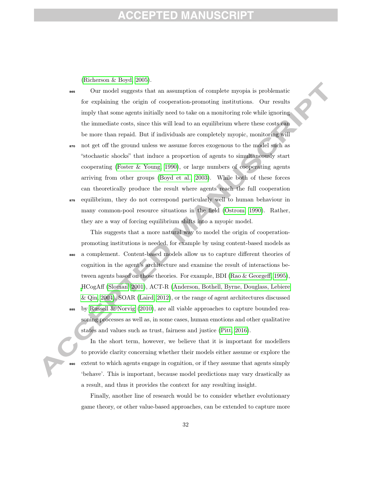(Richerson & Boyd, 2005).

- <sup>865</sup> Our model suggests that an assumption of complete myopia is problematic for explaining the origin of cooperation-promoting institutions. Our results imply that some agents initially need to take on a monitoring role while ignoring the immediate costs, since this will lead to an equilibrium where these costs can be more than repaid. But if individuals are completely myopic, monitoring will
- <sup>870</sup> not get off the ground unless we assume forces exogenous to the model such as "stochastic shocks" that induce a proportion of agents to simultaneously start cooperating (Foster & Young, 1990), or large numbers of cooperating agents arriving from other groups (Boyd et al., 2003). While both of these forces can theoretically produce the result where agents reach the full cooperation <sup>875</sup> equilibrium, they do not correspond particularly well to human behaviour in many common-pool resource situations in the field (Ostrom, 1990). Rather, they are a way of forcing equilibrium shifts into a myopic model.

This suggests that a more natural way to model the origin of cooperationpromoting institutions is needed, for example by using content-based models as a complement. Content-based models allow us to capture different theories of cognition in the agent's architecture and examine the result of interactions between agents based on those theories. For example, BDI (Rao & Georgeff, 1995), HCogAff (Sloman, 2001), ACT-R (Anderson, Bothell, Byrne, Douglass, Lebiere & Qin, 2004), SOAR (Laird, 2012), or the range of agent architectures discussed

by Russell & Norvig  $(2010)$ , are all viable approaches to capture bounded reasoning processes as well as, in some cases, human emotions and other qualitative states and values such as trust, fairness and justice (Pitt, 2016).

In the short term, however, we believe that it is important for modellers to provide clarity concerning whether their models either assume or explore the extent to which agents engage in cognition, or if they assume that agents simply 'behave'. This is important, because model predictions may vary drastically as a result, and thus it provides the context for any resulting insight.

Finally, another line of research would be to consider whether evolutionary game theory, or other value-based approaches, can be extended to capture more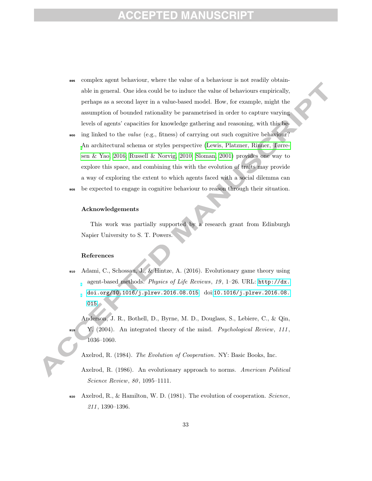# ID

- <sup>895</sup> complex agent behaviour, where the value of a behaviour is not readily obtainable in general. One idea could be to induce the value of behaviours empirically, perhaps as a second layer in a value-based model. How, for example, might the assumption of bounded rationality be parametrised in order to capture varying levels of agents' capacities for knowledge gathering and reasoning, with this be-
- <sub>900</sub> ing linked to the *value* (e.g., fitness) of carrying out such cognitive behaviour? An architectural schema or styles perspective (Lewis, Platzner, Rinner, Tørresen & Yao, 2016; Russell & Norvig, 2010; Sloman, 2001) provides one way to explore this space, and combining this with the evolution of traits may provide a way of exploring the extent to which agents faced with a social dilemma can <sup>905</sup> be expected to engage in cognitive behaviour to reason through their situation.
- 

#### Acknowledgements

This work was partially supported by a research grant from Edinburgh Napier University to S. T. Powers.

#### References

- <sup>910</sup> Adami, C., Schossau, J., & Hintze, A. (2016). Evolutionary game theory using agent-based methods. Physics of Life Reviews, 19, 1–26. URL:  $http://dx.$ [doi.org/10.1016/j.plrev.2016.08.015](http://dx.doi.org/10.1016/j.plrev.2016.08.015). doi:[10.1016/j.plrev.2016.08.](http://dx.doi.org/10.1016/j.plrev.2016.08.015) [015](http://dx.doi.org/10.1016/j.plrev.2016.08.015).
	- Anderson, J. R., Bothell, D., Byrne, M. D., Douglass, S., Lebiere, C., & Qin, Y. (2004). An integrated theory of the mind. Psychological Review, 111, 1036–1060.
		- Axelrod, R. (1984). The Evolution of Cooperation. NY: Basic Books, Inc.
	- Axelrod, R. (1986). An evolutionary approach to norms. American Political Science Review, 80, 1095-1111.
- 920 Axelrod, R., & Hamilton, W. D. (1981). The evolution of cooperation. Science, 211 , 1390–1396.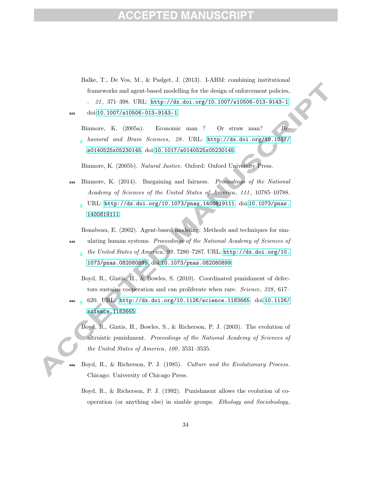- Balke, T., De Vos, M., & Padget, J. (2013). I-ABM: combining institutional frameworks and agent-based modelling for the design of enforcement policies, . 21 , 371–398. URL: <http://dx.doi.org/10.1007/s10506-013-9143-1>. <sup>925</sup> doi:[10.1007/s10506-013-9143-1](http://dx.doi.org/10.1007/s10506-013-9143-1).
	- Binmore, K.  $(2005a)$ . Economic man ? Or straw man? Behavioral and Brain Sciences, 28. URL: [http://dx.doi.org/10.1017/](http://dx.doi.org/10.1017/s0140525x05230145) [s0140525x05230145](http://dx.doi.org/10.1017/s0140525x05230145). doi:[10.1017/s0140525x05230145](http://dx.doi.org/10.1017/s0140525x05230145).

Binmore, K. (2005b). Natural Justice. Oxford: Oxford University Press.

930 Binmore, K. (2014). Bargaining and fairness. Proceedings of the National Academy of Sciences of the United States of America, 111 , 10785–10788. URL: <http://dx.doi.org/10.1073/pnas.1400819111>. doi:[10.1073/pnas.](http://dx.doi.org/10.1073/pnas.1400819111) [1400819111](http://dx.doi.org/10.1073/pnas.1400819111).

Bonabeau, E. (2002). Agent-based modeling: Methods and techniques for sim-

- <sup>935</sup> ulating human systems. Proceedings of the National Academy of Sciences of the United States of America, 99 , 7280–7287. URL: [http://dx.doi.org/10.](http://dx.doi.org/10.1073/pnas.082080899) [1073/pnas.082080899](http://dx.doi.org/10.1073/pnas.082080899). doi:[10.1073/pnas.082080899](http://dx.doi.org/10.1073/pnas.082080899).
	- Boyd, R., Gintis, H., & Bowles, S. (2010). Coordinated punishment of defectors sustains cooperation and can proliferate when rare. Science, 328 , 617–
- <sup>940</sup> 620. URL: <http://dx.doi.org/10.1126/science.1183665>. doi:[10.1126/](http://dx.doi.org/10.1126/science.1183665) [science.1183665](http://dx.doi.org/10.1126/science.1183665).
	- Boyd, R., Gintis, H., Bowles, S., & Richerson, P. J. (2003). The evolution of altruistic punishment. Proceedings of the National Academy of Sciences of the United States of America, 100, 3531-3535.
- Boyd, R., & Richerson, P. J. (1985). Culture and the Evolutionary Process. Chicago: University of Chicago Press.
	- Boyd, R., & Richerson, P. J. (1992). Punishment allows the evolution of cooperation (or anything else) in sizable groups. Ethology and Sociobiology,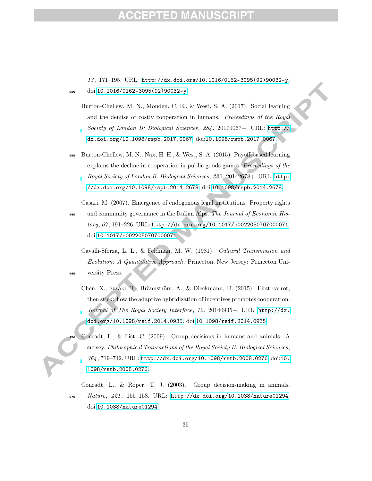### ED

13 , 171–195. URL: [http://dx.doi.org/10.1016/0162-3095\(92\)90032-y](http://dx.doi.org/10.1016/0162-3095(92)90032-y).  $950$  doi:[10.1016/0162-3095\(92\)90032-y](http://dx.doi.org/10.1016/0162-3095(92)90032-y).

Burton-Chellew, M. N., Mouden, C. E., & West, S. A. (2017). Social learning and the demise of costly cooperation in humans. Proceedings of the Royal Society of London B: Biological Sciences, 284 , 20170067+. URL: [http://](http://dx.doi.org/10.1098/rspb.2017.0067) [dx.doi.org/10.1098/rspb.2017.0067](http://dx.doi.org/10.1098/rspb.2017.0067). doi:[10.1098/rspb.2017.0067](http://dx.doi.org/10.1098/rspb.2017.0067).

Burton-Chellew, M. N., Nax, H. H., & West, S. A. (2015). Payoff-based learning explains the decline in cooperation in public goods games. *Proceedings of the* Royal Society of London B: Biological Sciences, 282 , 20142678+. URL: [http:](http://dx.doi.org/10.1098/rspb.2014.2678) [//dx.doi.org/10.1098/rspb.2014.2678](http://dx.doi.org/10.1098/rspb.2014.2678). doi:[10.1098/rspb.2014.2678](http://dx.doi.org/10.1098/rspb.2014.2678).

Casari, M. (2007). Emergence of endogenous legal institutions: Property rights 960 and community governance in the Italian Alps. The Journal of Economic History,  $67, 191-226$ . URL: <http://dx.doi.org/10.1017/s0022050707000071>. doi:[10.1017/s0022050707000071](http://dx.doi.org/10.1017/s0022050707000071).

Cavalli-Sforza, L. L., & Feldman, M. W. (1981). Cultural Transmission and Evolution: A Quantitative Approach. Princeton, New Jersey: Princeton Uni-<sup>965</sup> versity Press.

- Chen, X., Sasaki, T., Brännström, A., & Dieckmann, U. (2015). First carrot, then stick: how the adaptive hybridization of incentives promotes cooperation. Journal of The Royal Society Interface, 12, 20140935+. URL: [http://dx.](http://dx.doi.org/10.1098/rsif.2014.0935) [doi.org/10.1098/rsif.2014.0935](http://dx.doi.org/10.1098/rsif.2014.0935). doi:[10.1098/rsif.2014.0935](http://dx.doi.org/10.1098/rsif.2014.0935).
- Conradt, L., & List, C. (2009). Group decisions in humans and animals: A survey. Philosophical Transactions of the Royal Society B: Biological Sciences, 364 , 719–742. URL: <http://dx.doi.org/10.1098/rstb.2008.0276>. doi:[10.](http://dx.doi.org/10.1098/rstb.2008.0276) [1098/rstb.2008.0276](http://dx.doi.org/10.1098/rstb.2008.0276).

Conradt, L., & Roper, T. J. (2003). Group decision-making in animals. 975  $Nature, 421, 155-158. \text{ URL: http://dx.doi.org/10.1038/nature01294.$  $Nature, 421, 155-158. \text{ URL: http://dx.doi.org/10.1038/nature01294.$  $Nature, 421, 155-158. \text{ URL: http://dx.doi.org/10.1038/nature01294.$ doi:[10.1038/nature01294](http://dx.doi.org/10.1038/nature01294).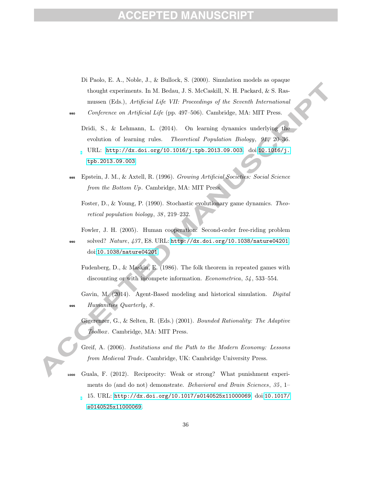- Di Paolo, E. A., Noble, J., & Bullock, S. (2000). Simulation models as opaque thought experiments. In M. Bedau, J. S. McCaskill, N. H. Packard, & S. Rasmussen (Eds.), Artificial Life VII: Proceedings of the Seventh International <sup>980</sup> Conference on Artificial Life (pp. 497–506). Cambridge, MA: MIT Press.
	- Dridi, S., & Lehmann, L. (2014). On learning dynamics underlying the evolution of learning rules. Theoretical Population Biology, 91, 20–36. URL: <http://dx.doi.org/10.1016/j.tpb.2013.09.003>. doi:[10.1016/j.](http://dx.doi.org/10.1016/j.tpb.2013.09.003) [tpb.2013.09.003](http://dx.doi.org/10.1016/j.tpb.2013.09.003).
- <sup>985</sup> Epstein, J. M., & Axtell, R. (1996). Growing Artificial Societies: Social Science from the Bottom Up. Cambridge, MA: MIT Press.
	- Foster, D., & Young, P. (1990). Stochastic evolutionary game dynamics. Theoretical population biology, 38 , 219–232.
	- Fowler, J. H. (2005). Human cooperation: Second-order free-riding problem
- <sup>990</sup> solved? Nature, 437 , E8. URL: <http://dx.doi.org/10.1038/nature04201>. doi:[10.1038/nature04201](http://dx.doi.org/10.1038/nature04201).
	- Fudenberg, D., & Maskin, E. (1986). The folk theorem in repeated games with discounting or with incompete information. *Econometrica*, 54, 533–554.
- Gavin, M. (2014). Agent-Based modeling and historical simulation. Digital 995 Humanities Quarterly, 8.
	- Gigerenzer, G., & Selten, R. (Eds.) (2001). Bounded Rationality: The Adaptive Toolbox. Cambridge, MA: MIT Press.
	- Greif, A. (2006). Institutions and the Path to the Modern Economy: Lessons from Medieval Trade. Cambridge, UK: Cambridge University Press.
- <sup>1000</sup> Guala, F. (2012). Reciprocity: Weak or strong? What punishment experiments do (and do not) demonstrate. Behavioral and Brain Sciences, 35, 1– 15. URL: <http://dx.doi.org/10.1017/s0140525x11000069>. doi:[10.1017/](http://dx.doi.org/10.1017/s0140525x11000069) [s0140525x11000069](http://dx.doi.org/10.1017/s0140525x11000069).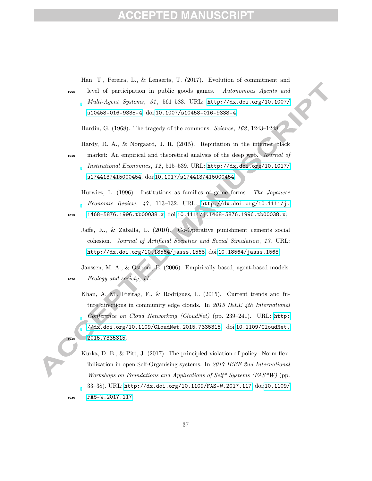# **ACCEPTED MANUSCRIPT**

|      | Han, T., Pereira, L., & Lenaerts, T. (2017). Evolution of commitment and        |
|------|---------------------------------------------------------------------------------|
| 1005 | level of participation in public goods games.<br>Autonomous Agents and          |
|      | Multi-Agent Systems, 31, 561-583. URL: http://dx.doi.org/10.1007/               |
|      | s10458-016-9338-4. doi:10.1007/s10458-016-9338-4.                               |
|      | Hardin, G. (1968). The tragedy of the commons. Science, 162, 1243-1248.         |
|      | Hardy, R. A., & Norgaard, J. R. (2015). Reputation in the internet black        |
| 1010 | market: An empirical and theoretical analysis of the deep web. Journal of       |
|      | Institutional Economics, 12, 515-539. URL: http://dx.doi.org/10.1017/           |
|      | s1744137415000454. doi:10.1017/s1744137415000454.                               |
|      |                                                                                 |
|      | Hurwicz, L. (1996). Institutions as families of game forms. The Japanese        |
|      | Economic Review, 47, 113-132. URL: http://dx.doi.org/10.1111/j.                 |
| 1015 | 1468-5876.1996.tb00038.x.doi:10.1111/j.1468-5876.1996.tb00038.x.                |
|      | Jaffe, K., & Zaballa, L. (2010). Co-Operative punishment cements social         |
|      | cohesion. Journal of Artificial Societies and Social Simulation, 13. URL:       |
|      | http://dx.doi.org/10.18564/jasss.1568.doi:10.18564/jasss.1568.                  |
|      |                                                                                 |
|      | Janssen, M. A., & Ostrom, E. (2006). Empirically based, agent-based models.     |
| 1020 | Ecology and society, 11.                                                        |
|      | Khan, A. M., Freitag, F., & Rodrigues, L. (2015). Current trends and fu-        |
|      | ture directions in community edge clouds. In $2015$ IEEE 4th International      |
|      |                                                                                 |
|      | Conference on Cloud Networking (CloudNet) (pp. 239-241). URL: http:             |
|      | //dx.doi.org/10.1109/CloudNet.2015.7335315. doi:10.1109/CloudNet.               |
| 1025 | 2015.7335315.                                                                   |
|      | Kurka, D. B., & Pitt, J. (2017). The principled violation of policy: Norm flex- |
|      | ibilization in open Self-Organising systems. In 2017 IEEE 2nd International     |
|      | Workshops on Foundations and Applications of Self* Systems ( $FAS*W$ ) (pp.     |
|      | 33-38). URL: http://dx.doi.org/10.1109/FAS-W.2017.117.doi:10.1109/              |

<sup>1030</sup> [FAS-W.2017.117](http://dx.doi.org/10.1109/FAS-W.2017.117).

 $\sum_{i=1}^{n}$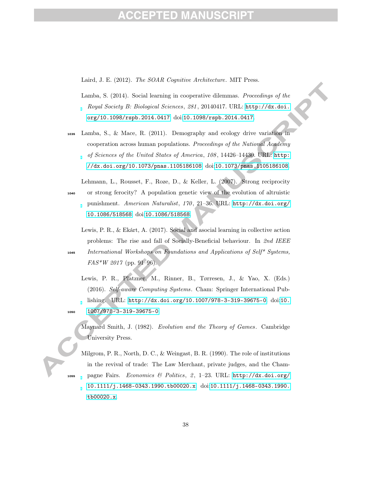### 1 D

Laird, J. E. (2012). The SOAR Cognitive Architecture. MIT Press.

- Lamba, S. (2014). Social learning in cooperative dilemmas. Proceedings of the Royal Society B: Biological Sciences, 281 , 20140417. URL: [http://dx.doi.](http://dx.doi.org/10.1098/rspb.2014.0417) [org/10.1098/rspb.2014.0417](http://dx.doi.org/10.1098/rspb.2014.0417). doi:[10.1098/rspb.2014.0417](http://dx.doi.org/10.1098/rspb.2014.0417).
- <sup>1035</sup> Lamba, S., & Mace, R. (2011). Demography and ecology drive variation in cooperation across human populations. Proceedings of the National Academy of Sciences of the United States of America, 108 , 14426–14430. URL: [http:](http://dx.doi.org/10.1073/pnas.1105186108) [//dx.doi.org/10.1073/pnas.1105186108](http://dx.doi.org/10.1073/pnas.1105186108). doi:[10.1073/pnas.1105186108](http://dx.doi.org/10.1073/pnas.1105186108).
- Lehmann, L., Rousset, F., Roze, D., & Keller, L. (2007). Strong reciprocity <sup>1040</sup> or strong ferocity? A population genetic view of the evolution of altruistic punishment. American Naturalist, 170, 21-36. URL: [http://dx.doi.org/](http://dx.doi.org/10.1086/518568) [10.1086/518568](http://dx.doi.org/10.1086/518568). doi:[10.1086/518568](http://dx.doi.org/10.1086/518568).
- Lewis, P. R., & Ekárt, A. (2017). Social and asocial learning in collective action problems: The rise and fall of Socially-Beneficial behaviour. In 2nd IEEE <sup>1045</sup> International Workshops on Foundations and Applications of Self\* Systems,
	- $FAS*W 2017$  (pp. 91–96).
- Lewis, P. R., Platzner, M., Rinner, B., Tørresen, J., & Yao, X. (Eds.) (2016). Self-aware Computing Systems. Cham: Springer International Publishing. URL: <http://dx.doi.org/10.1007/978-3-319-39675-0>. doi:[10.](http://dx.doi.org/10.1007/978-3-319-39675-0) <sup>1050</sup> [1007/978-3-319-39675-0](http://dx.doi.org/10.1007/978-3-319-39675-0).
	- Maynard Smith, J. (1982). Evolution and the Theory of Games. Cambridge University Press.
- Milgrom, P. R., North, D. C., & Weingast, B. R. (1990). The role of institutions in the revival of trade: The Law Merchant, private judges, and the Cham1055 pagne Fairs. Economics & Politics, 2, 1-23. URL: [http://dx.doi.org/](http://dx.doi.org/10.1111/j.1468-0343.1990.tb00020.x) [10.1111/j.1468-0343.1990.tb00020.x](http://dx.doi.org/10.1111/j.1468-0343.1990.tb00020.x). doi:[10.1111/j.1468-0343.1990.](http://dx.doi.org/10.1111/j.1468-0343.1990.tb00020.x) [tb00020.x](http://dx.doi.org/10.1111/j.1468-0343.1990.tb00020.x).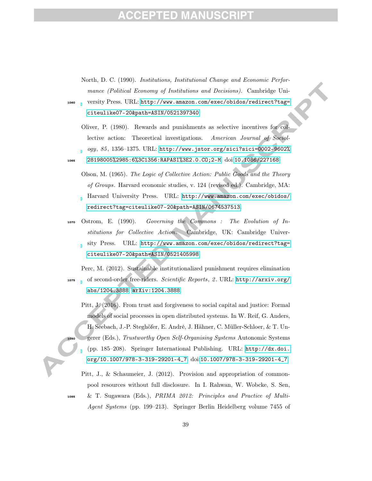North, D. C. (1990). Institutions, Institutional Change and Economic Performance (Political Economy of Institutions and Decisions). Cambridge Uni-

<sup>1060</sup> versity Press. URL: [http://www.amazon.com/exec/obidos/redirect?tag=](http://www.amazon.com/exec/obidos/redirect?tag=citeulike07-20&path=ASIN/0521397340) [citeulike07-20&path=ASIN/0521397340](http://www.amazon.com/exec/obidos/redirect?tag=citeulike07-20&path=ASIN/0521397340).

- Oliver, P. (1980). Rewards and punishments as selective incentives for collective action: Theoretical investigations. American Journal of Sociology, 85 , 1356–1375. URL: [http://www.jstor.org/sici?sici=0002-9602%](http://www.jstor.org/sici?sici=0002-9602%28198005%2985:6%3C1356:RAPASI%3E2.0.CO;2-M) <sup>1065</sup> [28198005%2985:6%3C1356:RAPASI%3E2.0.CO;2-M](http://www.jstor.org/sici?sici=0002-9602%28198005%2985:6%3C1356:RAPASI%3E2.0.CO;2-M). doi:[10.1086/227168](http://dx.doi.org/10.1086/227168).
	- Olson, M. (1965). The Logic of Collective Action: Public Goods and the Theory of Groups. Harvard economic studies, v. 124 (revised ed.). Cambridge, MA: Harvard University Press. URL: [http://www.amazon.com/exec/obidos/](http://www.amazon.com/exec/obidos/redirect?tag=citeulike07-20&path=ASIN/0674537513) [redirect?tag=citeulike07-20&path=ASIN/0674537513](http://www.amazon.com/exec/obidos/redirect?tag=citeulike07-20&path=ASIN/0674537513).
- <sup>1070</sup> Ostrom, E. (1990). Governing the Commons : The Evolution of Institutions for Collective Action. Cambridge, UK: Cambridge University Press. URL: [http://www.amazon.com/exec/obidos/redirect?tag=](http://www.amazon.com/exec/obidos/redirect?tag=citeulike07-20&path=ASIN/0521405998) [citeulike07-20&path=ASIN/0521405998](http://www.amazon.com/exec/obidos/redirect?tag=citeulike07-20&path=ASIN/0521405998).

Perc, M. (2012). Sustainable institutionalized punishment requires elimination <sup>1075</sup> of second-order free-riders. Scientific Reports, 2 . URL: [http://arxiv.org/](http://arxiv.org/abs/1204.3888) [abs/1204.3888](http://arxiv.org/abs/1204.3888). [arXiv:1204.3888](http://arxiv.org/abs/1204.3888).

Pitt, J. (2016). From trust and forgiveness to social capital and justice: Formal models of social processes in open distributed systems. In W. Reif, G. Anders, H. Seebach, J.-P. Steghöfer, E. André, J. Hähner, C. Müller-Schloer, & T. Ungerer (Eds.), Trustworthy Open Self-Organising Systems Autonomic Systems (pp. 185–208). Springer International Publishing. URL: [http://dx.doi.](http://dx.doi.org/10.1007/978-3-319-29201-4_7) [org/10.1007/978-3-319-29201-4\\_7](http://dx.doi.org/10.1007/978-3-319-29201-4_7). doi:[10.1007/978-3-319-29201-4\\_7](http://dx.doi.org/10.1007/978-3-319-29201-4_7).

Pitt, J., & Schaumeier, J. (2012). Provision and appropriation of commonpool resources without full disclosure. In I. Rahwan, W. Wobcke, S. Sen,

<sup>1085</sup> & T. Sugawara (Eds.), PRIMA 2012: Principles and Practice of Multi-Agent Systems (pp. 199–213). Springer Berlin Heidelberg volume 7455 of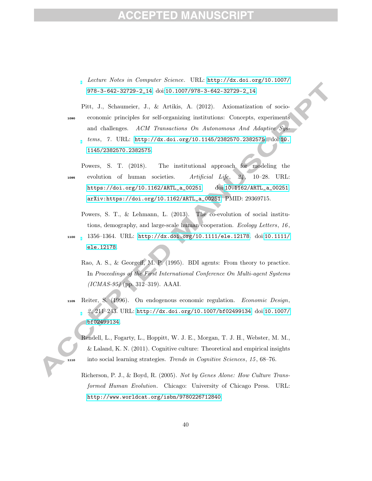#### PTED MANU

Lecture Notes in Computer Science. URL: [http://dx.doi.org/10.1007/](http://dx.doi.org/10.1007/978-3-642-32729-2_14) [978-3-642-32729-2\\_14](http://dx.doi.org/10.1007/978-3-642-32729-2_14). doi:[10.1007/978-3-642-32729-2\\_14](http://dx.doi.org/10.1007/978-3-642-32729-2_14).

Pitt, J., Schaumeier, J., & Artikis, A. (2012). Axiomatization of socio-<sup>1090</sup> economic principles for self-organizing institutions: Concepts, experiments and challenges. ACM Transactions On Autonomous And Adaptive Systems, 7 . URL: <http://dx.doi.org/10.1145/2382570.2382575>. doi:[10.](http://dx.doi.org/10.1145/2382570.2382575) [1145/2382570.2382575](http://dx.doi.org/10.1145/2382570.2382575).

Powers, S. T. (2018). The institutional approach for modeling the 1095 evolution of human societies. Artificial Life,  $24$ , 10–28. URL: [https://doi.org/10.1162/ARTL\\_a\\_00251](https://doi.org/10.1162/ARTL_a_00251). doi:[10.1162/ARTL\\_a\\_00251](http://dx.doi.org/10.1162/ARTL_a_00251). [arXiv:https://doi.org/10.1162/ARTL\\_a\\_00251](http://arxiv.org/abs/https://doi.org/10.1162/ARTL_a_00251). PMID: 29369715.

Powers, S. T., & Lehmann, L. (2013). The co-evolution of social institutions, demography, and large-scale human cooperation. Ecology Letters, 16 ,

- <sup>1100</sup> 1356–1364. URL: <http://dx.doi.org/10.1111/ele.12178>. doi:[10.1111/](http://dx.doi.org/10.1111/ele.12178) [ele.12178](http://dx.doi.org/10.1111/ele.12178).
	- Rao, A. S., & Georgeff, M. P. (1995). BDI agents: From theory to practice. In Proceedings of the First International Conference On Multi-agent Systems (ICMAS-95) (pp. 312–319). AAAI.
- <sup>1105</sup> Reiter, S. (1996). On endogenous economic regulation. Economic Design, 2 , 211–243. URL: <http://dx.doi.org/10.1007/bf02499134>. doi:[10.1007/](http://dx.doi.org/10.1007/bf02499134) [bf02499134](http://dx.doi.org/10.1007/bf02499134).
- Rendell, L., Fogarty, L., Hoppitt, W. J. E., Morgan, T. J. H., Webster, M. M., & Laland, K. N. (2011). Cognitive culture: Theoretical and empirical insights 1110 into social learning strategies. Trends in Cognitive Sciences, 15, 68–76.
	- Richerson, P. J., & Boyd, R. (2005). Not by Genes Alone: How Culture Transformed Human Evolution. Chicago: University of Chicago Press. URL: <http://www.worldcat.org/isbn/9780226712840>.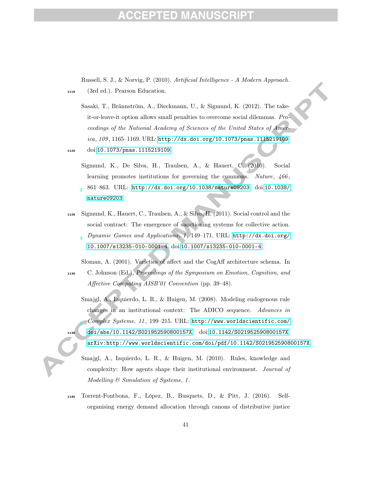### 10

Russell, S. J., & Norvig, P. (2010). Artificial Intelligence - A Modern Approach. <sup>1115</sup> (3rd ed.). Pearson Education.

Sasaki, T., Brännström, A., Dieckmann, U., & Sigmund, K. (2012). The takeit-or-leave-it option allows small penalties to overcome social dilemmas. Proceedings of the National Academy of Sciences of the United States of America, 109 , 1165–1169. URL: <http://dx.doi.org/10.1073/pnas.1115219109>. <sup>1120</sup> doi:[10.1073/pnas.1115219109](http://dx.doi.org/10.1073/pnas.1115219109).

- Sigmund, K., De Silva, H., Traulsen, A., & Hauert, C. (2010). Social learning promotes institutions for governing the commons. Nature,  $466$ , 861–863. URL: <http://dx.doi.org/10.1038/nature09203>. doi:[10.1038/](http://dx.doi.org/10.1038/nature09203) [nature09203](http://dx.doi.org/10.1038/nature09203).
- <sup>1125</sup> Sigmund, K., Hauert, C., Traulsen, A., & Silva, H. (2011). Social control and the social contract: The emergence of sanctioning systems for collective action. Dynamic Games and Applications, 1, 149-171. URL: [http://dx.doi.org/](http://dx.doi.org/10.1007/s13235-010-0001-4) [10.1007/s13235-010-0001-4](http://dx.doi.org/10.1007/s13235-010-0001-4). doi:[10.1007/s13235-010-0001-4](http://dx.doi.org/10.1007/s13235-010-0001-4).

Sloman, A. (2001). Varieties of affect and the CogAff architecture schema. In <sup>1130</sup> C. Johnson (Ed.), Proceedings of the Symposium on Emotion, Cognition, and Affective Computing AISB'01 Convention (pp. 39–48).

Smajgl, A., Izquierdo, L. R., & Huigen, M. (2008). Modeling endogenous rule changes in an institutional context: The ADICO sequence. Advances in Complex Systems, 11 , 199–215. URL: [http://www.worldscientific.com/](http://www.worldscientific.com/doi/abs/10.1142/S021952590800157X) <sup>1135</sup> [doi/abs/10.1142/S021952590800157X](http://www.worldscientific.com/doi/abs/10.1142/S021952590800157X). doi:[10.1142/S021952590800157X](http://dx.doi.org/10.1142/S021952590800157X). [arXiv:http://www.worldscientific.com/doi/pdf/10.1142/S021952590800157X](http://arxiv.org/abs/http://www.worldscientific.com/doi/pdf/10.1142/S021952590800157X).

Smajgl, A., Izquierdo, L. R., & Huigen, M. (2010). Rules, knowledge and complexity: How agents shape their institutional environment. Journal of Modelling & Simulation of Systems, 1.

<sup>1140</sup> Torrent-Fontbona, F., López, B., Busquets, D., & Pitt, J. (2016). Selforganising energy demand allocation through canons of distributive justice